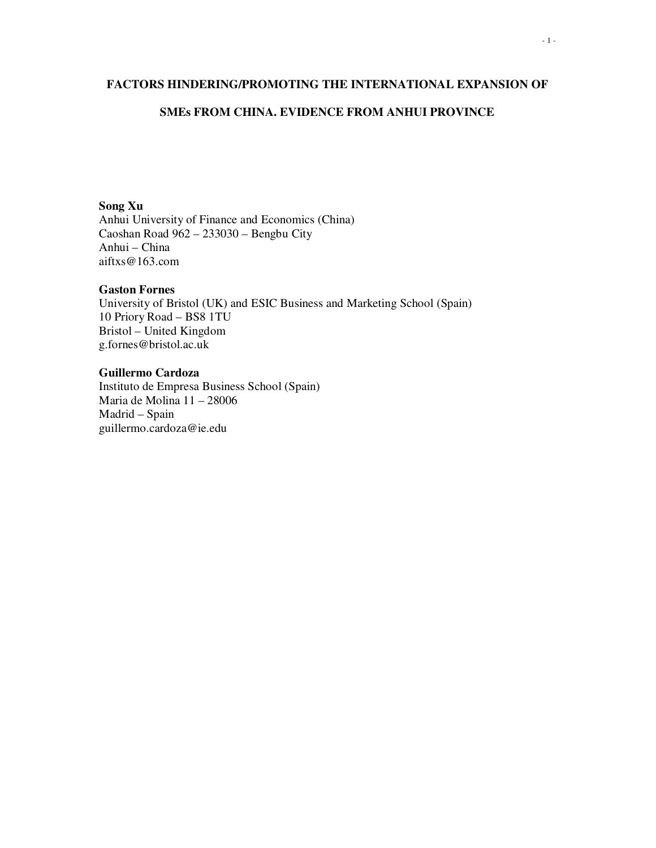### **FACTORS HINDERING/PROMOTING THE INTERNATIONAL EXPANSION OF**

### **SMEs FROM CHINA. EVIDENCE FROM ANHUI PROVINCE**

### **Song Xu**

Anhui University of Finance and Economics (China) Caoshan Road 962 – 233030 – Bengbu City Anhui – China aiftxs@163.com

### **Gaston Fornes**

University of Bristol (UK) and ESIC Business and Marketing School (Spain) 10 Priory Road – BS8 1TU Bristol – United Kingdom g.fornes@bristol.ac.uk

### **Guillermo Cardoza**  Instituto de Empresa Business School (Spain) Maria de Molina 11 – 28006 Madrid – Spain guillermo.cardoza@ie.edu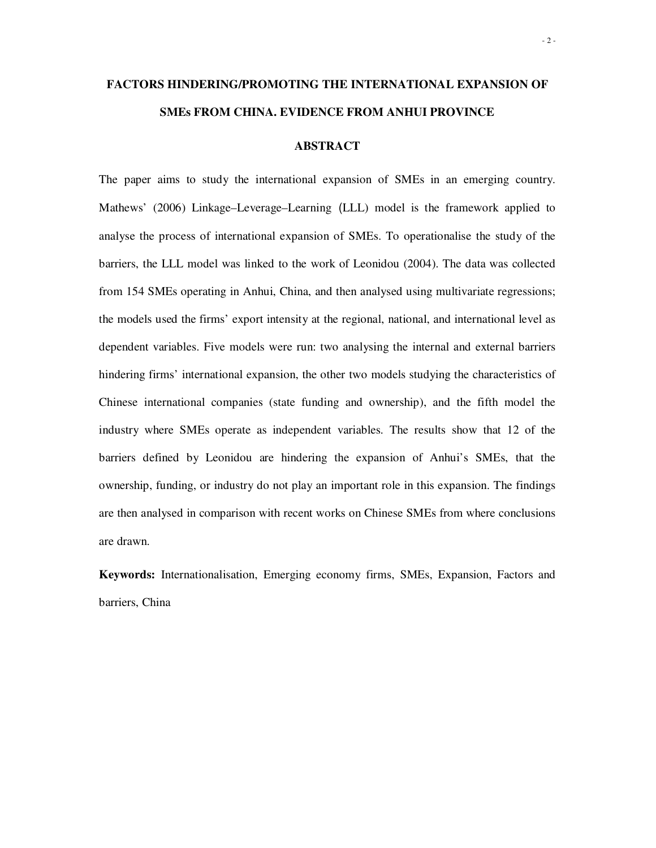# **FACTORS HINDERING/PROMOTING THE INTERNATIONAL EXPANSION OF SMEs FROM CHINA. EVIDENCE FROM ANHUI PROVINCE**

#### **ABSTRACT**

The paper aims to study the international expansion of SMEs in an emerging country. Mathews' (2006) Linkage–Leverage–Learning (LLL) model is the framework applied to analyse the process of international expansion of SMEs. To operationalise the study of the barriers, the LLL model was linked to the work of Leonidou (2004). The data was collected from 154 SMEs operating in Anhui, China, and then analysed using multivariate regressions; the models used the firms' export intensity at the regional, national, and international level as dependent variables. Five models were run: two analysing the internal and external barriers hindering firms' international expansion, the other two models studying the characteristics of Chinese international companies (state funding and ownership), and the fifth model the industry where SMEs operate as independent variables. The results show that 12 of the barriers defined by Leonidou are hindering the expansion of Anhui's SMEs, that the ownership, funding, or industry do not play an important role in this expansion. The findings are then analysed in comparison with recent works on Chinese SMEs from where conclusions are drawn.

**Keywords:** Internationalisation, Emerging economy firms, SMEs, Expansion, Factors and barriers, China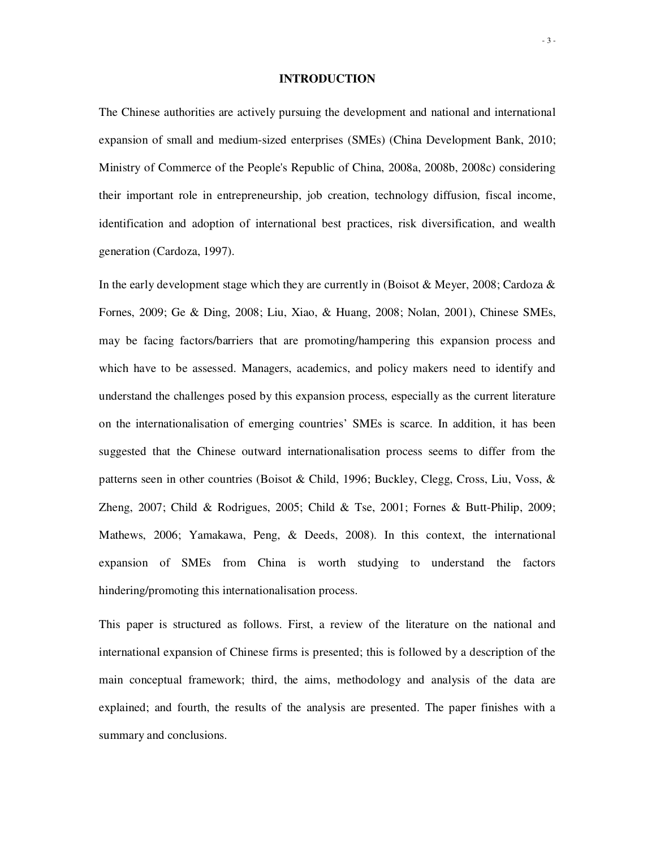#### **INTRODUCTION**

The Chinese authorities are actively pursuing the development and national and international expansion of small and medium-sized enterprises (SMEs) (China Development Bank, 2010; Ministry of Commerce of the People's Republic of China, 2008a, 2008b, 2008c) considering their important role in entrepreneurship, job creation, technology diffusion, fiscal income, identification and adoption of international best practices, risk diversification, and wealth generation (Cardoza, 1997).

In the early development stage which they are currently in (Boisot & Meyer, 2008; Cardoza  $\&$ Fornes, 2009; Ge & Ding, 2008; Liu, Xiao, & Huang, 2008; Nolan, 2001), Chinese SMEs, may be facing factors/barriers that are promoting/hampering this expansion process and which have to be assessed. Managers, academics, and policy makers need to identify and understand the challenges posed by this expansion process, especially as the current literature on the internationalisation of emerging countries' SMEs is scarce. In addition, it has been suggested that the Chinese outward internationalisation process seems to differ from the patterns seen in other countries (Boisot & Child, 1996; Buckley, Clegg, Cross, Liu, Voss, & Zheng, 2007; Child & Rodrigues, 2005; Child & Tse, 2001; Fornes & Butt-Philip, 2009; Mathews, 2006; Yamakawa, Peng, & Deeds, 2008). In this context, the international expansion of SMEs from China is worth studying to understand the factors hindering/promoting this internationalisation process.

This paper is structured as follows. First, a review of the literature on the national and international expansion of Chinese firms is presented; this is followed by a description of the main conceptual framework; third, the aims, methodology and analysis of the data are explained; and fourth, the results of the analysis are presented. The paper finishes with a summary and conclusions.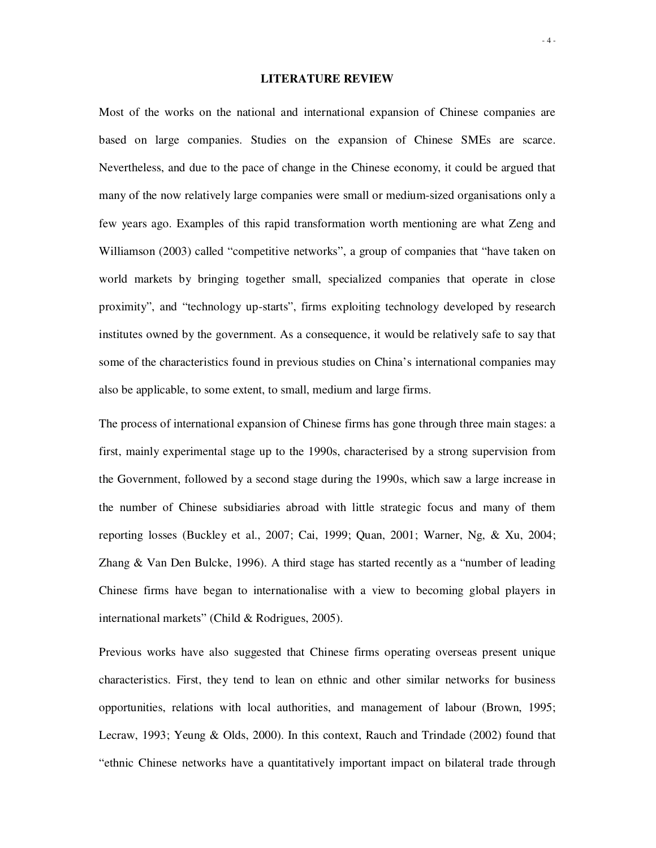#### **LITERATURE REVIEW**

Most of the works on the national and international expansion of Chinese companies are based on large companies. Studies on the expansion of Chinese SMEs are scarce. Nevertheless, and due to the pace of change in the Chinese economy, it could be argued that many of the now relatively large companies were small or medium-sized organisations only a few years ago. Examples of this rapid transformation worth mentioning are what Zeng and Williamson (2003) called "competitive networks", a group of companies that "have taken on world markets by bringing together small, specialized companies that operate in close proximity", and "technology up-starts", firms exploiting technology developed by research institutes owned by the government. As a consequence, it would be relatively safe to say that some of the characteristics found in previous studies on China's international companies may also be applicable, to some extent, to small, medium and large firms.

The process of international expansion of Chinese firms has gone through three main stages: a first, mainly experimental stage up to the 1990s, characterised by a strong supervision from the Government, followed by a second stage during the 1990s, which saw a large increase in the number of Chinese subsidiaries abroad with little strategic focus and many of them reporting losses (Buckley et al., 2007; Cai, 1999; Quan, 2001; Warner, Ng, & Xu, 2004; Zhang & Van Den Bulcke, 1996). A third stage has started recently as a "number of leading Chinese firms have began to internationalise with a view to becoming global players in international markets" (Child & Rodrigues, 2005).

Previous works have also suggested that Chinese firms operating overseas present unique characteristics. First, they tend to lean on ethnic and other similar networks for business opportunities, relations with local authorities, and management of labour (Brown, 1995; Lecraw, 1993; Yeung & Olds, 2000). In this context, Rauch and Trindade (2002) found that "ethnic Chinese networks have a quantitatively important impact on bilateral trade through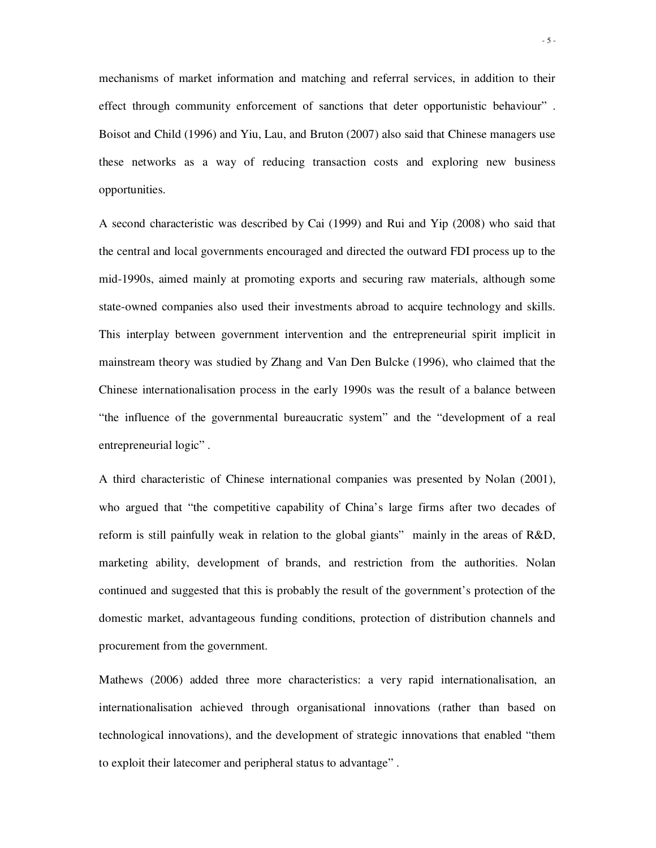mechanisms of market information and matching and referral services, in addition to their effect through community enforcement of sanctions that deter opportunistic behaviour" . Boisot and Child (1996) and Yiu, Lau, and Bruton (2007) also said that Chinese managers use these networks as a way of reducing transaction costs and exploring new business opportunities.

A second characteristic was described by Cai (1999) and Rui and Yip (2008) who said that the central and local governments encouraged and directed the outward FDI process up to the mid-1990s, aimed mainly at promoting exports and securing raw materials, although some state-owned companies also used their investments abroad to acquire technology and skills. This interplay between government intervention and the entrepreneurial spirit implicit in mainstream theory was studied by Zhang and Van Den Bulcke (1996), who claimed that the Chinese internationalisation process in the early 1990s was the result of a balance between "the influence of the governmental bureaucratic system" and the "development of a real entrepreneurial logic".

A third characteristic of Chinese international companies was presented by Nolan (2001), who argued that "the competitive capability of China's large firms after two decades of reform is still painfully weak in relation to the global giants" mainly in the areas of R&D, marketing ability, development of brands, and restriction from the authorities. Nolan continued and suggested that this is probably the result of the government's protection of the domestic market, advantageous funding conditions, protection of distribution channels and procurement from the government.

Mathews (2006) added three more characteristics: a very rapid internationalisation, an internationalisation achieved through organisational innovations (rather than based on technological innovations), and the development of strategic innovations that enabled "them to exploit their latecomer and peripheral status to advantage" .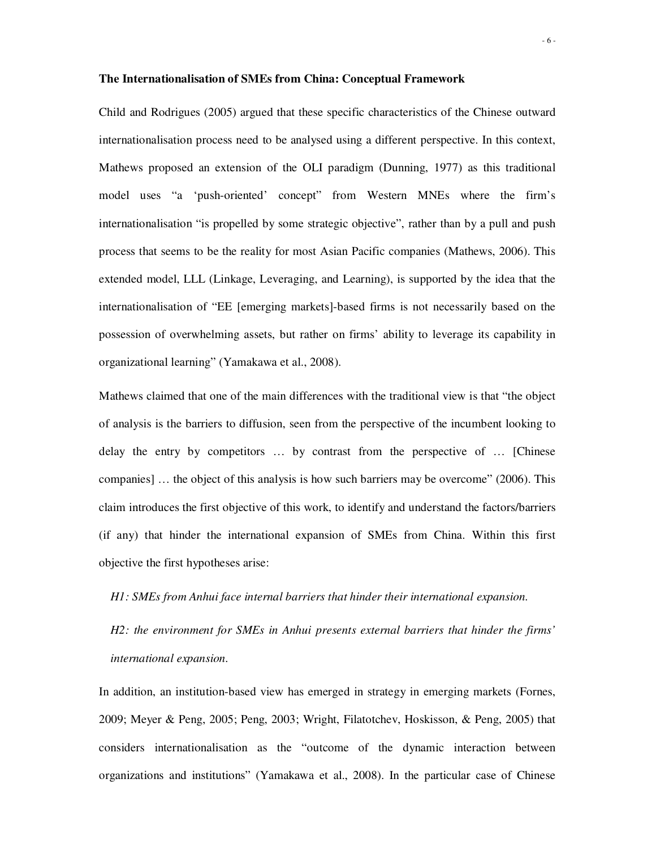#### **The Internationalisation of SMEs from China: Conceptual Framework**

Child and Rodrigues (2005) argued that these specific characteristics of the Chinese outward internationalisation process need to be analysed using a different perspective. In this context, Mathews proposed an extension of the OLI paradigm (Dunning, 1977) as this traditional model uses "a 'push-oriented' concept" from Western MNEs where the firm's internationalisation "is propelled by some strategic objective", rather than by a pull and push process that seems to be the reality for most Asian Pacific companies (Mathews, 2006). This extended model, LLL (Linkage, Leveraging, and Learning), is supported by the idea that the internationalisation of "EE [emerging markets]-based firms is not necessarily based on the possession of overwhelming assets, but rather on firms' ability to leverage its capability in organizational learning" (Yamakawa et al., 2008).

Mathews claimed that one of the main differences with the traditional view is that "the object of analysis is the barriers to diffusion, seen from the perspective of the incumbent looking to delay the entry by competitors … by contrast from the perspective of … [Chinese companies] … the object of this analysis is how such barriers may be overcome" (2006). This claim introduces the first objective of this work, to identify and understand the factors/barriers (if any) that hinder the international expansion of SMEs from China. Within this first objective the first hypotheses arise:

#### *H1: SMEs from Anhui face internal barriers that hinder their international expansion.*

*H2: the environment for SMEs in Anhui presents external barriers that hinder the firms' international expansion.* 

In addition, an institution-based view has emerged in strategy in emerging markets (Fornes, 2009; Meyer & Peng, 2005; Peng, 2003; Wright, Filatotchev, Hoskisson, & Peng, 2005) that considers internationalisation as the "outcome of the dynamic interaction between organizations and institutions" (Yamakawa et al., 2008). In the particular case of Chinese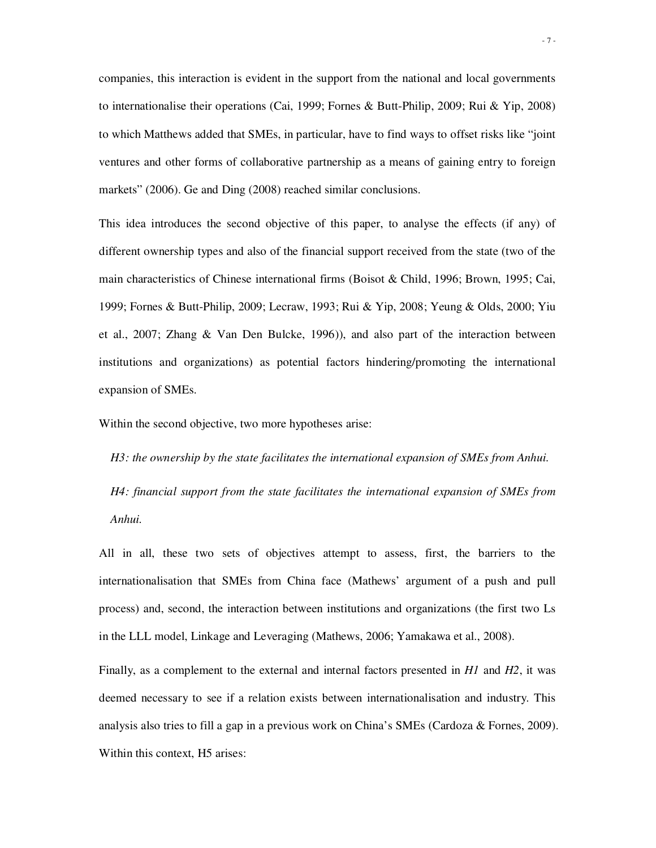companies, this interaction is evident in the support from the national and local governments to internationalise their operations (Cai, 1999; Fornes & Butt-Philip, 2009; Rui & Yip, 2008) to which Matthews added that SMEs, in particular, have to find ways to offset risks like "joint ventures and other forms of collaborative partnership as a means of gaining entry to foreign markets" (2006). Ge and Ding (2008) reached similar conclusions.

This idea introduces the second objective of this paper, to analyse the effects (if any) of different ownership types and also of the financial support received from the state (two of the main characteristics of Chinese international firms (Boisot & Child, 1996; Brown, 1995; Cai, 1999; Fornes & Butt-Philip, 2009; Lecraw, 1993; Rui & Yip, 2008; Yeung & Olds, 2000; Yiu et al., 2007; Zhang & Van Den Bulcke, 1996)), and also part of the interaction between institutions and organizations) as potential factors hindering/promoting the international expansion of SMEs.

Within the second objective, two more hypotheses arise:

*H3: the ownership by the state facilitates the international expansion of SMEs from Anhui.* 

*H4: financial support from the state facilitates the international expansion of SMEs from Anhui.* 

All in all, these two sets of objectives attempt to assess, first, the barriers to the internationalisation that SMEs from China face (Mathews' argument of a push and pull process) and, second, the interaction between institutions and organizations (the first two Ls in the LLL model, Linkage and Leveraging (Mathews, 2006; Yamakawa et al., 2008).

Finally, as a complement to the external and internal factors presented in *H1* and *H2*, it was deemed necessary to see if a relation exists between internationalisation and industry. This analysis also tries to fill a gap in a previous work on China's SMEs (Cardoza & Fornes, 2009). Within this context, H5 arises: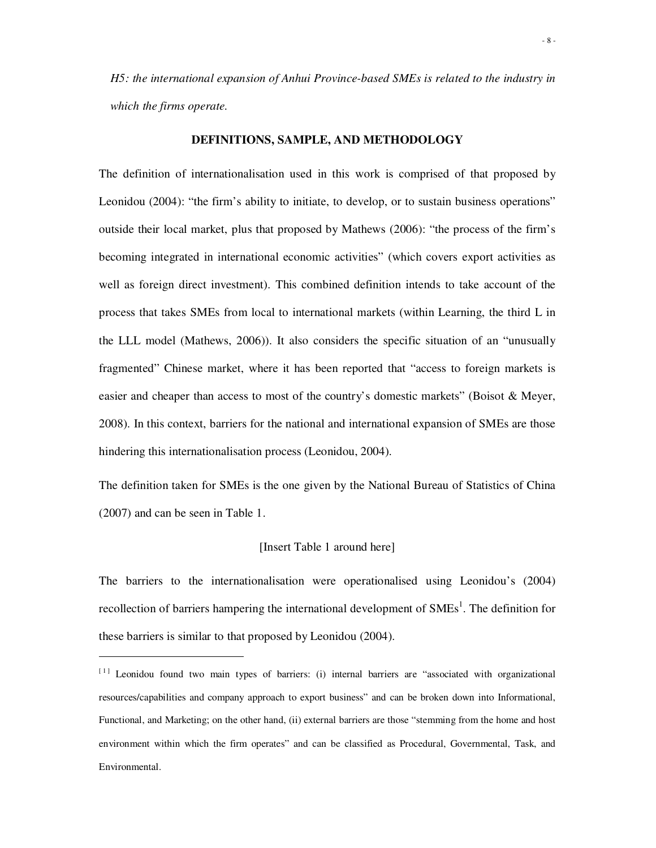*H5: the international expansion of Anhui Province-based SMEs is related to the industry in which the firms operate.*

### **DEFINITIONS, SAMPLE, AND METHODOLOGY**

The definition of internationalisation used in this work is comprised of that proposed by Leonidou (2004): "the firm's ability to initiate, to develop, or to sustain business operations" outside their local market, plus that proposed by Mathews (2006): "the process of the firm's becoming integrated in international economic activities" (which covers export activities as well as foreign direct investment). This combined definition intends to take account of the process that takes SMEs from local to international markets (within Learning, the third L in the LLL model (Mathews, 2006)). It also considers the specific situation of an "unusually fragmented" Chinese market, where it has been reported that "access to foreign markets is easier and cheaper than access to most of the country's domestic markets" (Boisot & Meyer, 2008). In this context, barriers for the national and international expansion of SMEs are those hindering this internationalisation process (Leonidou, 2004).

The definition taken for SMEs is the one given by the National Bureau of Statistics of China (2007) and can be seen in Table 1.

#### [Insert Table 1 around here]

The barriers to the internationalisation were operationalised using Leonidou's (2004) recollection of barriers hampering the international development of  $SMEs<sup>1</sup>$ . The definition for these barriers is similar to that proposed by Leonidou (2004).

 $\overline{a}$ 

<sup>[1]</sup> Leonidou found two main types of barriers: (i) internal barriers are "associated with organizational resources/capabilities and company approach to export business" and can be broken down into Informational, Functional, and Marketing; on the other hand, (ii) external barriers are those "stemming from the home and host environment within which the firm operates" and can be classified as Procedural, Governmental, Task, and Environmental.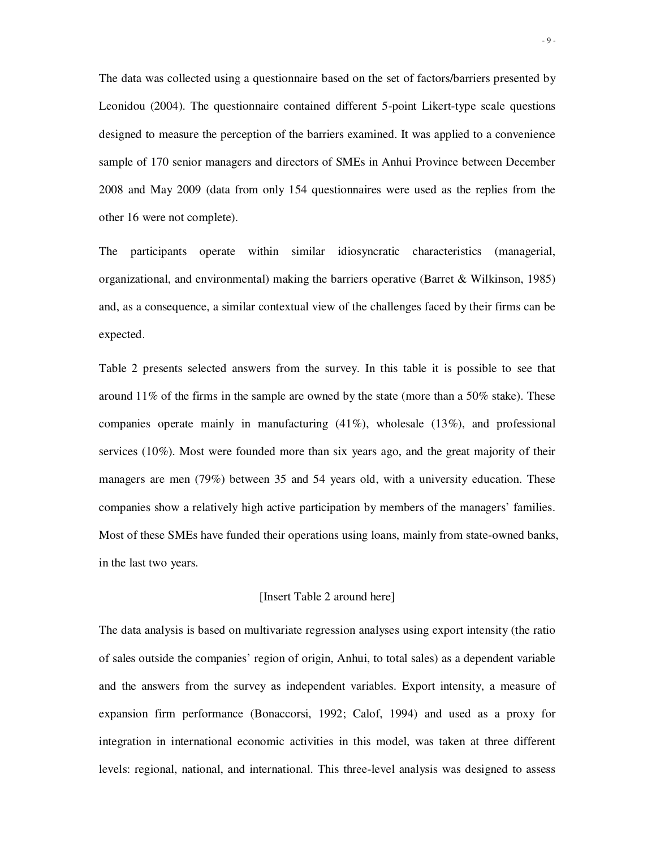The data was collected using a questionnaire based on the set of factors/barriers presented by Leonidou (2004). The questionnaire contained different 5-point Likert-type scale questions designed to measure the perception of the barriers examined. It was applied to a convenience sample of 170 senior managers and directors of SMEs in Anhui Province between December 2008 and May 2009 (data from only 154 questionnaires were used as the replies from the other 16 were not complete).

The participants operate within similar idiosyncratic characteristics (managerial, organizational, and environmental) making the barriers operative (Barret & Wilkinson, 1985) and, as a consequence, a similar contextual view of the challenges faced by their firms can be expected.

Table 2 presents selected answers from the survey. In this table it is possible to see that around  $11\%$  of the firms in the sample are owned by the state (more than a 50% stake). These companies operate mainly in manufacturing (41%), wholesale (13%), and professional services (10%). Most were founded more than six years ago, and the great majority of their managers are men (79%) between 35 and 54 years old, with a university education. These companies show a relatively high active participation by members of the managers' families. Most of these SMEs have funded their operations using loans, mainly from state-owned banks, in the last two years.

#### [Insert Table 2 around here]

The data analysis is based on multivariate regression analyses using export intensity (the ratio of sales outside the companies' region of origin, Anhui, to total sales) as a dependent variable and the answers from the survey as independent variables. Export intensity, a measure of expansion firm performance (Bonaccorsi, 1992; Calof, 1994) and used as a proxy for integration in international economic activities in this model, was taken at three different levels: regional, national, and international. This three-level analysis was designed to assess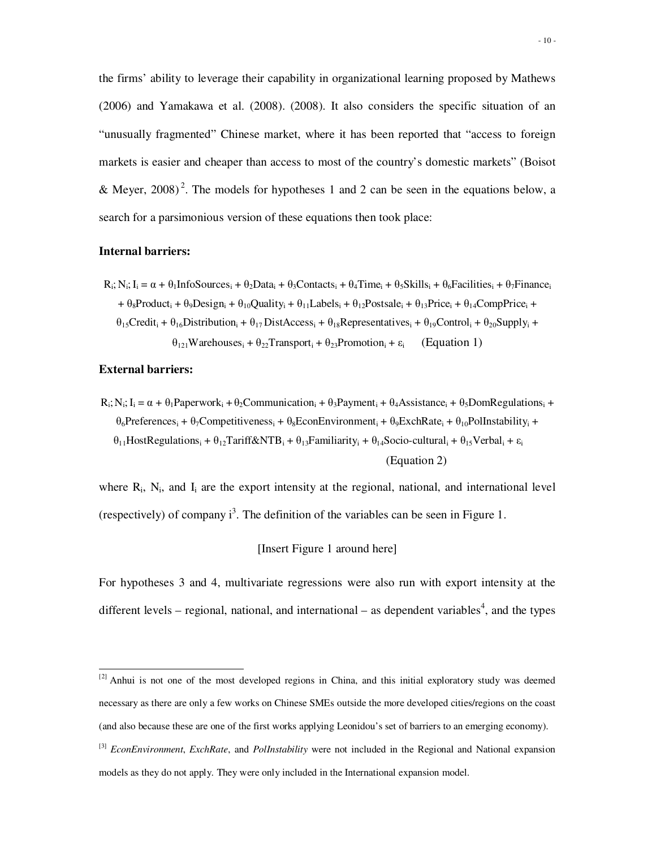the firms' ability to leverage their capability in organizational learning proposed by Mathews (2006) and Yamakawa et al. (2008). (2008). It also considers the specific situation of an "unusually fragmented" Chinese market, where it has been reported that "access to foreign markets is easier and cheaper than access to most of the country's domestic markets" (Boisot & Meyer, 2008)<sup>2</sup>. The models for hypotheses 1 and 2 can be seen in the equations below, a search for a parsimonious version of these equations then took place:

#### **Internal barriers:**

 $R_i$ ;  $N_i$ ;  $I_i = \alpha + \theta_1$ InfoSources<sub>i</sub> +  $\theta_2$ Data<sub>i</sub> +  $\theta_3$ Contacts<sub>i</sub> +  $\theta_4$ Time<sub>i</sub> +  $\theta_5$ Skills<sub>i</sub> +  $\theta_6$ Facilities<sub>i</sub> +  $\theta_7$ Finance<sub>i</sub>  $+ \theta_8$ Product<sub>i</sub> +  $\theta_9$ Design<sub>i</sub> +  $\theta_{10}$ Quality<sub>i</sub> +  $\theta_{11}$ Labels<sub>i</sub> +  $\theta_{12}$ Postsale<sub>i</sub> +  $\theta_{13}$ Price<sub>i</sub> +  $\theta_{14}$ CompPrice<sub>i</sub> +  $\theta_{15}$ Credit<sub>i</sub> +  $\theta_{16}$ Distribution<sub>i</sub> +  $\theta_{17}$ DistAccess<sub>i</sub> +  $\theta_{18}$ Representatives<sub>i</sub> +  $\theta_{19}$ Control<sub>i</sub> +  $\theta_{20}$ Supply<sub>i</sub> +  $\theta_{121}$ Warehouses<sub>i</sub> +  $\theta_{22}$ Transport<sub>i</sub> +  $\theta_{23}$ Promotion<sub>i</sub> +  $\varepsilon_i$  (Equation 1)

#### **External barriers:**

 $\overline{a}$ 

 $R_i$ ;  $N_i$ ;  $I_i = \alpha + \theta_i$ Paperwork<sub>i</sub> +  $\theta_2$ Communication<sub>i</sub> +  $\theta_3$ Payment<sub>i</sub> +  $\theta_4$ Assistance<sub>i</sub> +  $\theta_5$ DomRegulations<sub>i</sub> +  $\theta_6$ Preferences<sub>i</sub> +  $\theta_7$ Competitiveness<sub>i</sub> +  $\theta_8$ EconEnvironment<sub>i</sub> +  $\theta_9$ ExchRate<sub>i</sub> +  $\theta_{10}$ PolInstability<sub>i</sub> +  $\theta_{11}$ HostRegulations<sub>i</sub> +  $\theta_{12}$ Tariff&NTB<sub>i</sub> +  $\theta_{13}$ Familiarity<sub>i</sub> +  $\theta_{14}$ Socio-cultural<sub>i</sub> +  $\theta_{15}$ Verbal<sub>i</sub> +  $\varepsilon_i$ (Equation 2)

where  $R_i$ ,  $N_i$ , and  $I_i$  are the export intensity at the regional, national, and international level (respectively) of company  $i^3$ . The definition of the variables can be seen in Figure 1.

### [Insert Figure 1 around here]

For hypotheses 3 and 4, multivariate regressions were also run with export intensity at the different levels – regional, national, and international – as dependent variables<sup>4</sup>, and the types

<sup>&</sup>lt;sup>[2]</sup> Anhui is not one of the most developed regions in China, and this initial exploratory study was deemed necessary as there are only a few works on Chinese SMEs outside the more developed cities/regions on the coast (and also because these are one of the first works applying Leonidou's set of barriers to an emerging economy).

<sup>[3]</sup> *EconEnvironment*, *ExchRate*, and *PolInstability* were not included in the Regional and National expansion models as they do not apply. They were only included in the International expansion model.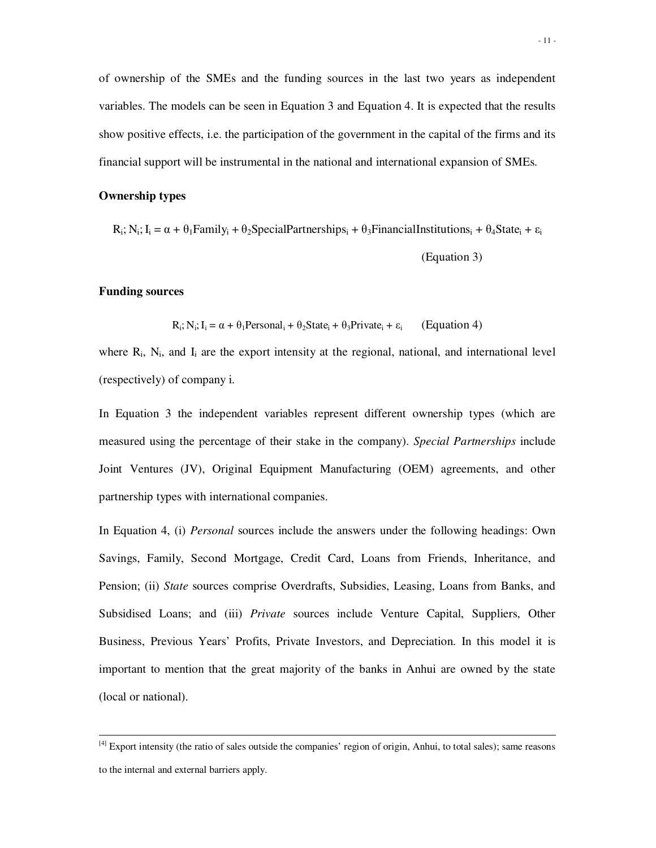of ownership of the SMEs and the funding sources in the last two years as independent variables. The models can be seen in Equation 3 and Equation 4. It is expected that the results show positive effects, i.e. the participation of the government in the capital of the firms and its financial support will be instrumental in the national and international expansion of SMEs.

### **Ownership types**

 $R_i$ ; N<sub>i</sub>; I<sub>i</sub> =  $\alpha + \theta_1$ Family<sub>i</sub> +  $\theta_2$ SpecialPartnerships<sub>i</sub> +  $\theta_3$ FinancialInstitutions<sub>i</sub> +  $\theta_4$ State<sub>i</sub> +  $\varepsilon_i$ (Equation 3)

#### **Funding sources**

 $\ddot{\phantom{a}}$ 

$$
R_i; N_i; I_i = \alpha + \theta_1 \text{Personal}_i + \theta_2 \text{State}_i + \theta_3 \text{Private}_i + \varepsilon_i \qquad \text{(Equation 4)}
$$

where  $R_i$ ,  $N_i$ , and  $I_i$  are the export intensity at the regional, national, and international level (respectively) of company i.

In Equation 3 the independent variables represent different ownership types (which are measured using the percentage of their stake in the company). *Special Partnerships* include Joint Ventures (JV), Original Equipment Manufacturing (OEM) agreements, and other partnership types with international companies.

In Equation 4, (i) *Personal* sources include the answers under the following headings: Own Savings, Family, Second Mortgage, Credit Card, Loans from Friends, Inheritance, and Pension; (ii) *State* sources comprise Overdrafts, Subsidies, Leasing, Loans from Banks, and Subsidised Loans; and (iii) *Private* sources include Venture Capital, Suppliers, Other Business, Previous Years' Profits, Private Investors, and Depreciation. In this model it is important to mention that the great majority of the banks in Anhui are owned by the state (local or national).

 $<sup>[4]</sup>$  Export intensity (the ratio of sales outside the companies' region of origin, Anhui, to total sales); same reasons</sup> to the internal and external barriers apply.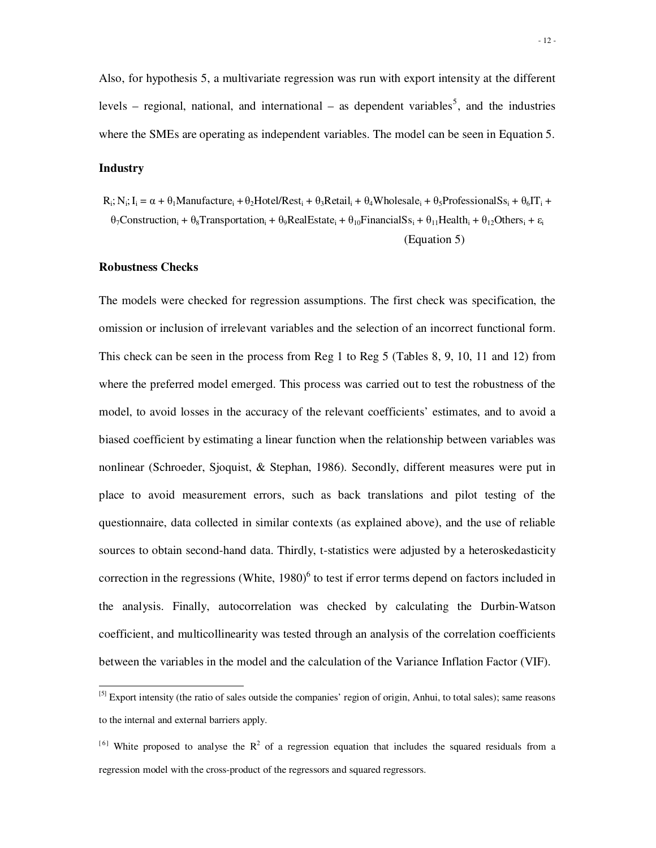Also, for hypothesis 5, a multivariate regression was run with export intensity at the different levels – regional, national, and international – as dependent variables<sup>5</sup>, and the industries where the SMEs are operating as independent variables. The model can be seen in Equation 5.

#### **Industry**

 $\overline{a}$ 

 $R_i$ ;  $N_i$ ;  $I_i = \alpha + \theta_1$ Manufacture<sub>i</sub> +  $\theta_2$ Hotel/Rest<sub>i</sub> +  $\theta_3$ Retail<sub>i</sub> +  $\theta_4$ Wholesale<sub>i</sub> +  $\theta_5$ ProfessionalSs<sub>i</sub> +  $\theta_6\Pi$ <sub>i</sub> +  $\theta_7$ Construction<sub>i</sub> +  $\theta_8$ Transportation<sub>i</sub> +  $\theta_9$ RealEstate<sub>i</sub> +  $\theta_{10}$ FinancialSs<sub>i</sub> +  $\theta_{11}$ Health<sub>i</sub> +  $\theta_{12}$ Others<sub>i</sub> +  $\varepsilon$ <sub>i</sub>

#### (Equation 5)

#### **Robustness Checks**

The models were checked for regression assumptions. The first check was specification, the omission or inclusion of irrelevant variables and the selection of an incorrect functional form. This check can be seen in the process from Reg 1 to Reg 5 (Tables 8, 9, 10, 11 and 12) from where the preferred model emerged. This process was carried out to test the robustness of the model, to avoid losses in the accuracy of the relevant coefficients' estimates, and to avoid a biased coefficient by estimating a linear function when the relationship between variables was nonlinear (Schroeder, Sjoquist, & Stephan, 1986). Secondly, different measures were put in place to avoid measurement errors, such as back translations and pilot testing of the questionnaire, data collected in similar contexts (as explained above), and the use of reliable sources to obtain second-hand data. Thirdly, t-statistics were adjusted by a heteroskedasticity correction in the regressions (White,  $1980)$ <sup>6</sup> to test if error terms depend on factors included in the analysis. Finally, autocorrelation was checked by calculating the Durbin-Watson coefficient, and multicollinearity was tested through an analysis of the correlation coefficients between the variables in the model and the calculation of the Variance Inflation Factor (VIF).

<sup>&</sup>lt;sup>[5]</sup> Export intensity (the ratio of sales outside the companies' region of origin, Anhui, to total sales); same reasons to the internal and external barriers apply.

<sup>&</sup>lt;sup>[6]</sup> White proposed to analyse the  $R^2$  of a regression equation that includes the squared residuals from a regression model with the cross-product of the regressors and squared regressors.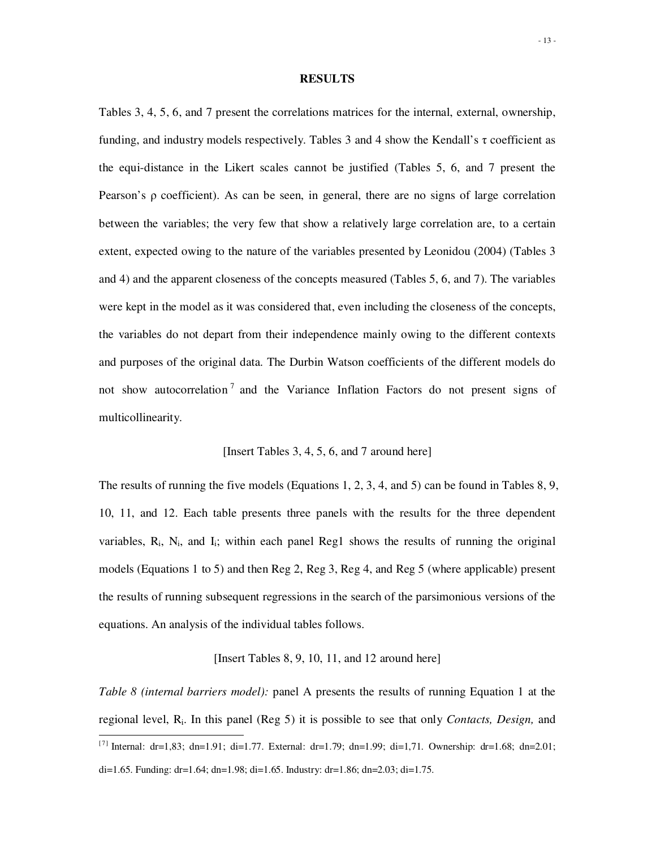#### **RESULTS**

Tables 3, 4, 5, 6, and 7 present the correlations matrices for the internal, external, ownership, funding, and industry models respectively. Tables 3 and 4 show the Kendall's  $\tau$  coefficient as the equi-distance in the Likert scales cannot be justified (Tables 5, 6, and 7 present the Pearson's ρ coefficient). As can be seen, in general, there are no signs of large correlation between the variables; the very few that show a relatively large correlation are, to a certain extent, expected owing to the nature of the variables presented by Leonidou (2004) (Tables 3 and 4) and the apparent closeness of the concepts measured (Tables 5, 6, and 7). The variables were kept in the model as it was considered that, even including the closeness of the concepts, the variables do not depart from their independence mainly owing to the different contexts and purposes of the original data. The Durbin Watson coefficients of the different models do not show autocorrelation<sup>7</sup> and the Variance Inflation Factors do not present signs of multicollinearity.

#### [Insert Tables 3, 4, 5, 6, and 7 around here]

The results of running the five models (Equations 1, 2, 3, 4, and 5) can be found in Tables 8, 9, 10, 11, and 12. Each table presents three panels with the results for the three dependent variables,  $R_i$ ,  $N_i$ , and  $I_i$ ; within each panel Reg1 shows the results of running the original models (Equations 1 to 5) and then Reg 2, Reg 3, Reg 4, and Reg 5 (where applicable) present the results of running subsequent regressions in the search of the parsimonious versions of the equations. An analysis of the individual tables follows.

### [Insert Tables 8, 9, 10, 11, and 12 around here]

*Table 8 (internal barriers model):* panel A presents the results of running Equation 1 at the regional level, R<sup>i</sup> . In this panel (Reg 5) it is possible to see that only *Contacts, Design,* and

 $\ddot{\phantom{a}}$ 

<sup>&</sup>lt;sup>[7]</sup> Internal: dr=1,83; dn=1.91; di=1.77. External: dr=1.79; dn=1.99; di=1,71. Ownership: dr=1.68; dn=2.01; di=1.65. Funding: dr=1.64; dn=1.98; di=1.65. Industry: dr=1.86; dn=2.03; di=1.75.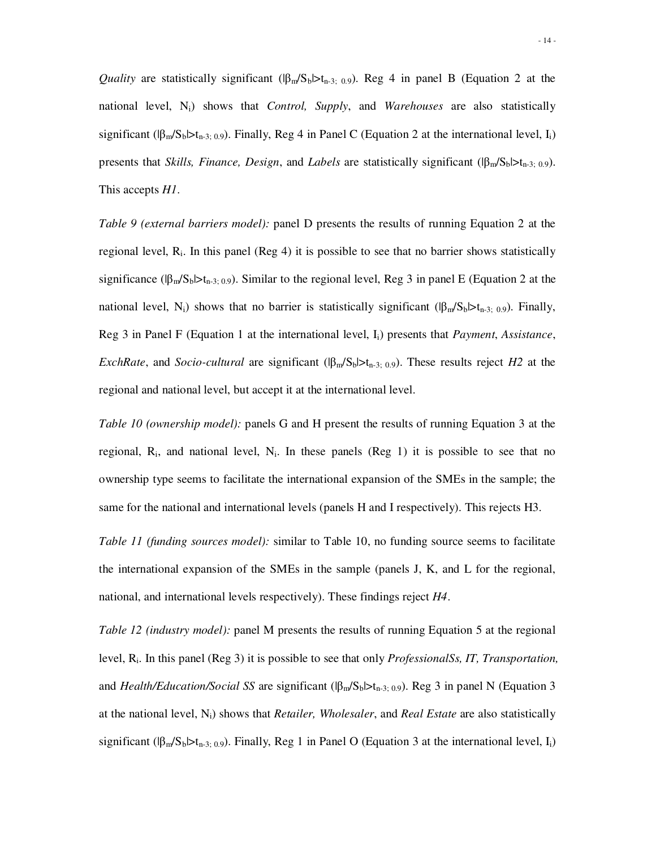*Quality* are statistically significant  $(|\beta_m/S_b|>t_{n-3}; 0.9)$ . Reg 4 in panel B (Equation 2 at the national level, Ni) shows that *Control, Supply*, and *Warehouses* are also statistically significant ( $|\beta_{m}/S_b|>t_{n-3; 0.9}$ ). Finally, Reg 4 in Panel C (Equation 2 at the international level, I<sub>i</sub>) presents that *Skills, Finance, Design*, and *Labels* are statistically significant (|βm/Sb|>tn-3; 0.9). This accepts *H1*.

*Table 9 (external barriers model):* panel D presents the results of running Equation 2 at the regional level,  $R_i$ . In this panel (Reg 4) it is possible to see that no barrier shows statistically significance ( $|\beta_m/S_b|>t_{n-3;0.9}$ ). Similar to the regional level, Reg 3 in panel E (Equation 2 at the national level, N<sub>i</sub>) shows that no barrier is statistically significant ( $|\beta_{m}/S_{b}|>t_{n-3}$ ; 0.9). Finally, Reg 3 in Panel F (Equation 1 at the international level, Ii) presents that *Payment*, *Assistance*, *ExchRate*, and *Socio-cultural* are significant ( $|\beta_{m}/S_b|>t_{n-3; 0.9}$ ). These results reject *H2* at the regional and national level, but accept it at the international level.

*Table 10 (ownership model):* panels G and H present the results of running Equation 3 at the regional,  $R_i$ , and national level,  $N_i$ . In these panels (Reg 1) it is possible to see that no ownership type seems to facilitate the international expansion of the SMEs in the sample; the same for the national and international levels (panels H and I respectively). This rejects H3.

*Table 11 (funding sources model):* similar to Table 10, no funding source seems to facilitate the international expansion of the SMEs in the sample (panels J, K, and L for the regional, national, and international levels respectively). These findings reject *H4*.

*Table 12 (industry model):* panel M presents the results of running Equation 5 at the regional level, Ri. In this panel (Reg 3) it is possible to see that only *ProfessionalSs, IT, Transportation,*  and *Health/Education/Social SS* are significant ( $\beta_m/S_b \rhd_{n-3; 0.9}$ ). Reg 3 in panel N (Equation 3 at the national level, Ni) shows that *Retailer, Wholesaler*, and *Real Estate* are also statistically significant ( $|\beta_m/S_b|>t_{n-3; 0.9}$ ). Finally, Reg 1 in Panel O (Equation 3 at the international level, I<sub>i</sub>)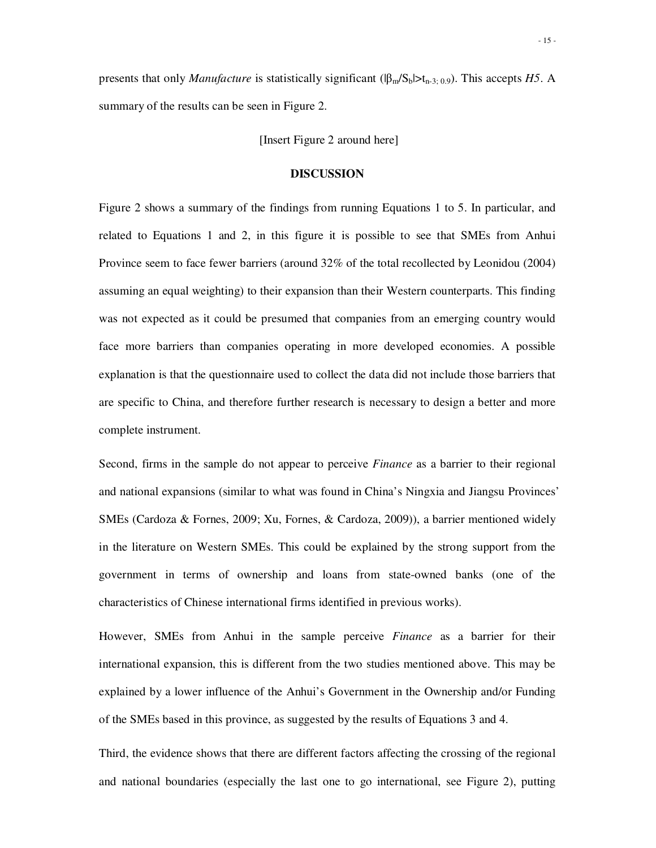presents that only *Manufacture* is statistically significant ( $|\beta_{m}/S_b| > t_{n-3; 0.9}$ ). This accepts *H5*. A summary of the results can be seen in Figure 2.

[Insert Figure 2 around here]

#### **DISCUSSION**

Figure 2 shows a summary of the findings from running Equations 1 to 5. In particular, and related to Equations 1 and 2, in this figure it is possible to see that SMEs from Anhui Province seem to face fewer barriers (around 32% of the total recollected by Leonidou (2004) assuming an equal weighting) to their expansion than their Western counterparts. This finding was not expected as it could be presumed that companies from an emerging country would face more barriers than companies operating in more developed economies. A possible explanation is that the questionnaire used to collect the data did not include those barriers that are specific to China, and therefore further research is necessary to design a better and more complete instrument.

Second, firms in the sample do not appear to perceive *Finance* as a barrier to their regional and national expansions (similar to what was found in China's Ningxia and Jiangsu Provinces' SMEs (Cardoza & Fornes, 2009; Xu, Fornes, & Cardoza, 2009)), a barrier mentioned widely in the literature on Western SMEs. This could be explained by the strong support from the government in terms of ownership and loans from state-owned banks (one of the characteristics of Chinese international firms identified in previous works).

However, SMEs from Anhui in the sample perceive *Finance* as a barrier for their international expansion, this is different from the two studies mentioned above. This may be explained by a lower influence of the Anhui's Government in the Ownership and/or Funding of the SMEs based in this province, as suggested by the results of Equations 3 and 4.

Third, the evidence shows that there are different factors affecting the crossing of the regional and national boundaries (especially the last one to go international, see Figure 2), putting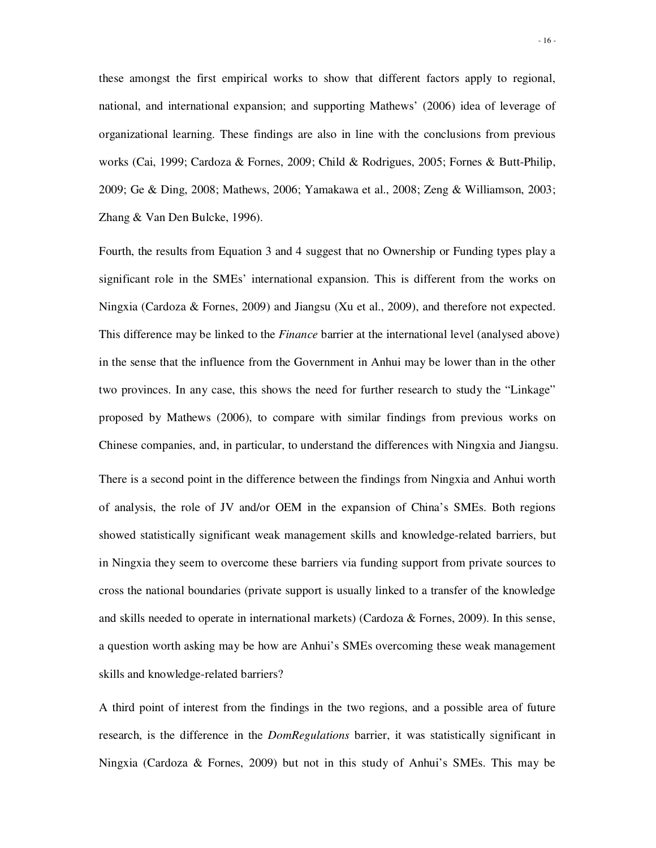these amongst the first empirical works to show that different factors apply to regional, national, and international expansion; and supporting Mathews' (2006) idea of leverage of organizational learning. These findings are also in line with the conclusions from previous works (Cai, 1999; Cardoza & Fornes, 2009; Child & Rodrigues, 2005; Fornes & Butt-Philip, 2009; Ge & Ding, 2008; Mathews, 2006; Yamakawa et al., 2008; Zeng & Williamson, 2003; Zhang & Van Den Bulcke, 1996).

Fourth, the results from Equation 3 and 4 suggest that no Ownership or Funding types play a significant role in the SMEs' international expansion. This is different from the works on Ningxia (Cardoza & Fornes, 2009) and Jiangsu (Xu et al., 2009), and therefore not expected. This difference may be linked to the *Finance* barrier at the international level (analysed above) in the sense that the influence from the Government in Anhui may be lower than in the other two provinces. In any case, this shows the need for further research to study the "Linkage" proposed by Mathews (2006), to compare with similar findings from previous works on Chinese companies, and, in particular, to understand the differences with Ningxia and Jiangsu. There is a second point in the difference between the findings from Ningxia and Anhui worth of analysis, the role of JV and/or OEM in the expansion of China's SMEs. Both regions showed statistically significant weak management skills and knowledge-related barriers, but in Ningxia they seem to overcome these barriers via funding support from private sources to cross the national boundaries (private support is usually linked to a transfer of the knowledge and skills needed to operate in international markets) (Cardoza & Fornes, 2009). In this sense, a question worth asking may be how are Anhui's SMEs overcoming these weak management skills and knowledge-related barriers?

A third point of interest from the findings in the two regions, and a possible area of future research, is the difference in the *DomRegulations* barrier, it was statistically significant in Ningxia (Cardoza & Fornes, 2009) but not in this study of Anhui's SMEs. This may be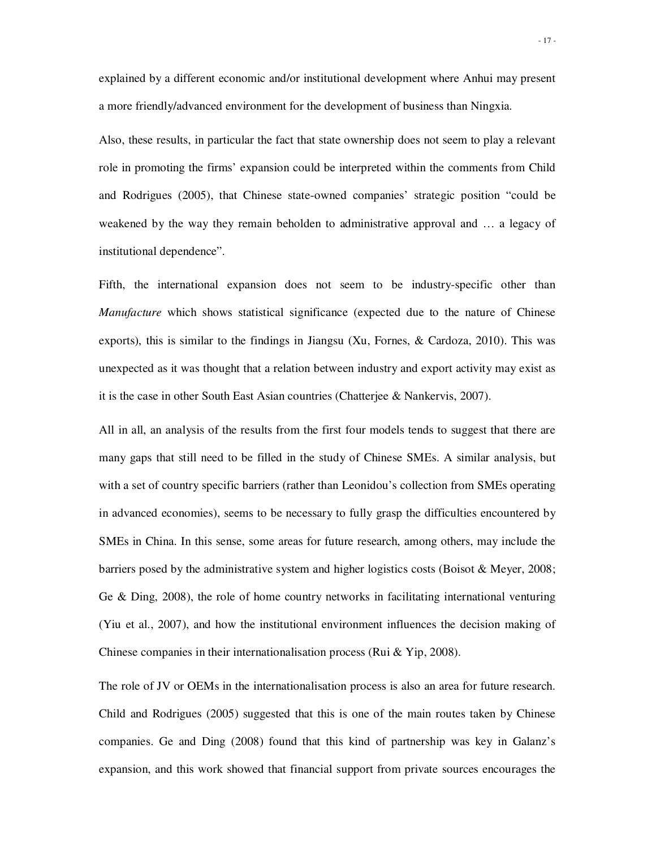explained by a different economic and/or institutional development where Anhui may present a more friendly/advanced environment for the development of business than Ningxia.

Also, these results, in particular the fact that state ownership does not seem to play a relevant role in promoting the firms' expansion could be interpreted within the comments from Child and Rodrigues (2005), that Chinese state-owned companies' strategic position "could be weakened by the way they remain beholden to administrative approval and … a legacy of institutional dependence".

Fifth, the international expansion does not seem to be industry-specific other than *Manufacture* which shows statistical significance (expected due to the nature of Chinese exports), this is similar to the findings in Jiangsu (Xu, Fornes, & Cardoza, 2010). This was unexpected as it was thought that a relation between industry and export activity may exist as it is the case in other South East Asian countries (Chatterjee & Nankervis, 2007).

All in all, an analysis of the results from the first four models tends to suggest that there are many gaps that still need to be filled in the study of Chinese SMEs. A similar analysis, but with a set of country specific barriers (rather than Leonidou's collection from SMEs operating in advanced economies), seems to be necessary to fully grasp the difficulties encountered by SMEs in China. In this sense, some areas for future research, among others, may include the barriers posed by the administrative system and higher logistics costs (Boisot & Meyer, 2008; Ge & Ding, 2008), the role of home country networks in facilitating international venturing (Yiu et al., 2007), and how the institutional environment influences the decision making of Chinese companies in their internationalisation process (Rui & Yip, 2008).

The role of JV or OEMs in the internationalisation process is also an area for future research. Child and Rodrigues (2005) suggested that this is one of the main routes taken by Chinese companies. Ge and Ding (2008) found that this kind of partnership was key in Galanz's expansion, and this work showed that financial support from private sources encourages the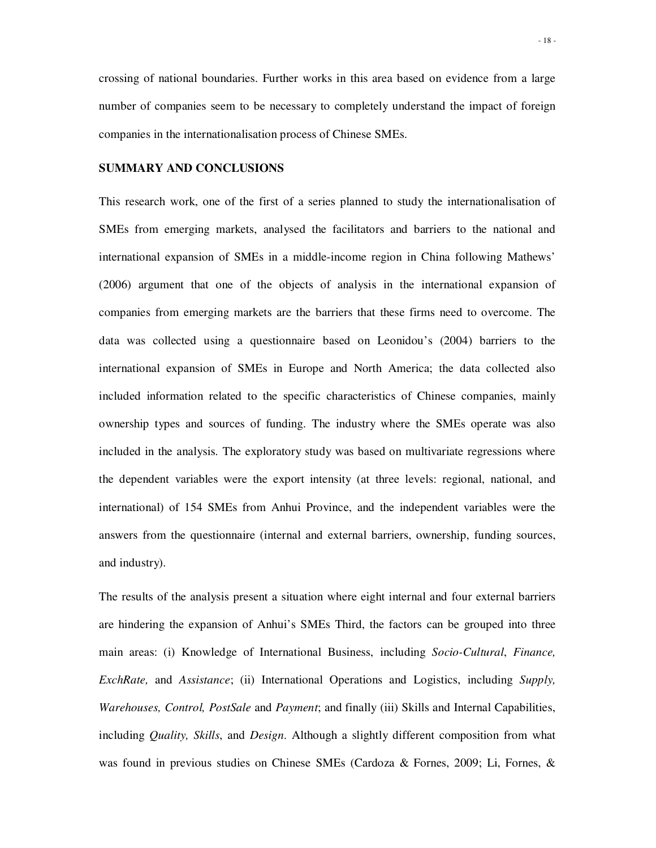crossing of national boundaries. Further works in this area based on evidence from a large number of companies seem to be necessary to completely understand the impact of foreign companies in the internationalisation process of Chinese SMEs.

#### **SUMMARY AND CONCLUSIONS**

This research work, one of the first of a series planned to study the internationalisation of SMEs from emerging markets, analysed the facilitators and barriers to the national and international expansion of SMEs in a middle-income region in China following Mathews' (2006) argument that one of the objects of analysis in the international expansion of companies from emerging markets are the barriers that these firms need to overcome. The data was collected using a questionnaire based on Leonidou's (2004) barriers to the international expansion of SMEs in Europe and North America; the data collected also included information related to the specific characteristics of Chinese companies, mainly ownership types and sources of funding. The industry where the SMEs operate was also included in the analysis. The exploratory study was based on multivariate regressions where the dependent variables were the export intensity (at three levels: regional, national, and international) of 154 SMEs from Anhui Province, and the independent variables were the answers from the questionnaire (internal and external barriers, ownership, funding sources, and industry).

The results of the analysis present a situation where eight internal and four external barriers are hindering the expansion of Anhui's SMEs Third, the factors can be grouped into three main areas: (i) Knowledge of International Business, including *Socio-Cultural*, *Finance, ExchRate,* and *Assistance*; (ii) International Operations and Logistics, including *Supply, Warehouses, Control, PostSale* and *Payment*; and finally (iii) Skills and Internal Capabilities, including *Quality, Skills*, and *Design*. Although a slightly different composition from what was found in previous studies on Chinese SMEs (Cardoza & Fornes, 2009; Li, Fornes, &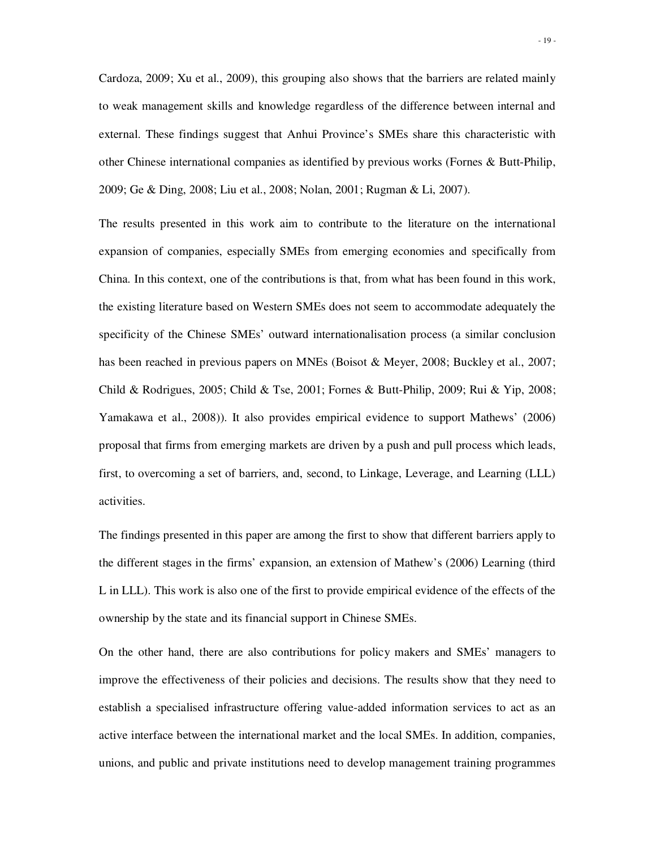Cardoza, 2009; Xu et al., 2009), this grouping also shows that the barriers are related mainly to weak management skills and knowledge regardless of the difference between internal and external. These findings suggest that Anhui Province's SMEs share this characteristic with other Chinese international companies as identified by previous works (Fornes & Butt-Philip, 2009; Ge & Ding, 2008; Liu et al., 2008; Nolan, 2001; Rugman & Li, 2007).

The results presented in this work aim to contribute to the literature on the international expansion of companies, especially SMEs from emerging economies and specifically from China. In this context, one of the contributions is that, from what has been found in this work, the existing literature based on Western SMEs does not seem to accommodate adequately the specificity of the Chinese SMEs' outward internationalisation process (a similar conclusion has been reached in previous papers on MNEs (Boisot & Meyer, 2008; Buckley et al., 2007; Child & Rodrigues, 2005; Child & Tse, 2001; Fornes & Butt-Philip, 2009; Rui & Yip, 2008; Yamakawa et al., 2008)). It also provides empirical evidence to support Mathews' (2006) proposal that firms from emerging markets are driven by a push and pull process which leads, first, to overcoming a set of barriers, and, second, to Linkage, Leverage, and Learning (LLL) activities.

The findings presented in this paper are among the first to show that different barriers apply to the different stages in the firms' expansion, an extension of Mathew's (2006) Learning (third L in LLL). This work is also one of the first to provide empirical evidence of the effects of the ownership by the state and its financial support in Chinese SMEs.

On the other hand, there are also contributions for policy makers and SMEs' managers to improve the effectiveness of their policies and decisions. The results show that they need to establish a specialised infrastructure offering value-added information services to act as an active interface between the international market and the local SMEs. In addition, companies, unions, and public and private institutions need to develop management training programmes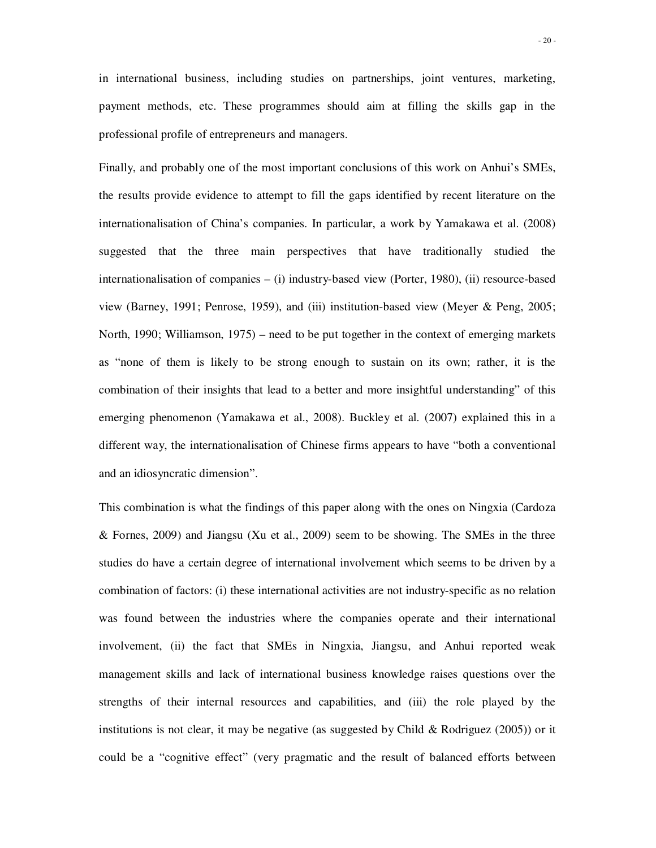in international business, including studies on partnerships, joint ventures, marketing, payment methods, etc. These programmes should aim at filling the skills gap in the professional profile of entrepreneurs and managers.

Finally, and probably one of the most important conclusions of this work on Anhui's SMEs, the results provide evidence to attempt to fill the gaps identified by recent literature on the internationalisation of China's companies. In particular, a work by Yamakawa et al. (2008) suggested that the three main perspectives that have traditionally studied the internationalisation of companies – (i) industry-based view (Porter, 1980), (ii) resource-based view (Barney, 1991; Penrose, 1959), and (iii) institution-based view (Meyer & Peng, 2005; North, 1990; Williamson, 1975) – need to be put together in the context of emerging markets as "none of them is likely to be strong enough to sustain on its own; rather, it is the combination of their insights that lead to a better and more insightful understanding" of this emerging phenomenon (Yamakawa et al., 2008). Buckley et al. (2007) explained this in a different way, the internationalisation of Chinese firms appears to have "both a conventional and an idiosyncratic dimension".

This combination is what the findings of this paper along with the ones on Ningxia (Cardoza & Fornes, 2009) and Jiangsu (Xu et al., 2009) seem to be showing. The SMEs in the three studies do have a certain degree of international involvement which seems to be driven by a combination of factors: (i) these international activities are not industry-specific as no relation was found between the industries where the companies operate and their international involvement, (ii) the fact that SMEs in Ningxia, Jiangsu, and Anhui reported weak management skills and lack of international business knowledge raises questions over the strengths of their internal resources and capabilities, and (iii) the role played by the institutions is not clear, it may be negative (as suggested by Child & Rodriguez  $(2005)$ ) or it could be a "cognitive effect" (very pragmatic and the result of balanced efforts between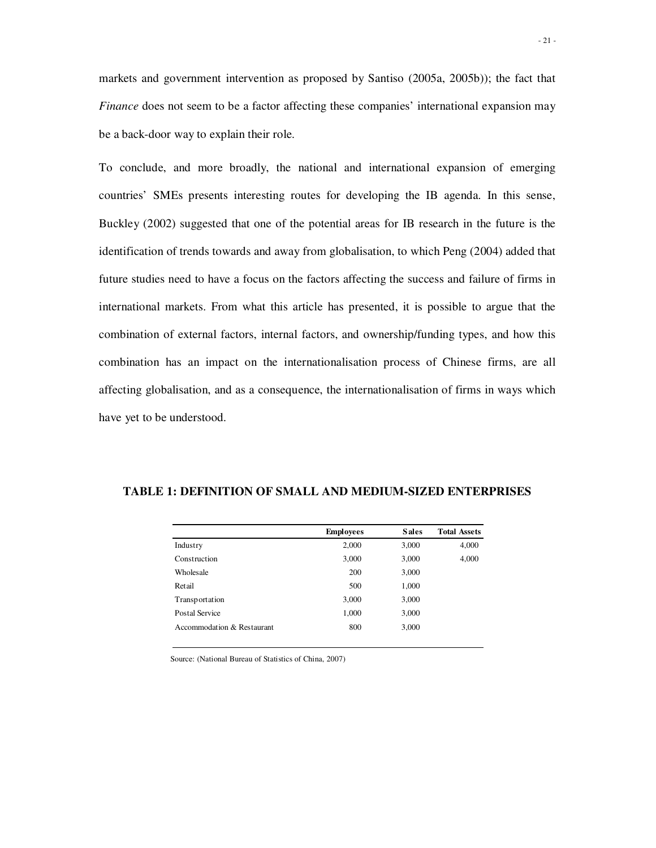markets and government intervention as proposed by Santiso (2005a, 2005b)); the fact that *Finance* does not seem to be a factor affecting these companies' international expansion may be a back-door way to explain their role.

To conclude, and more broadly, the national and international expansion of emerging countries' SMEs presents interesting routes for developing the IB agenda. In this sense, Buckley (2002) suggested that one of the potential areas for IB research in the future is the identification of trends towards and away from globalisation, to which Peng (2004) added that future studies need to have a focus on the factors affecting the success and failure of firms in international markets. From what this article has presented, it is possible to argue that the combination of external factors, internal factors, and ownership/funding types, and how this combination has an impact on the internationalisation process of Chinese firms, are all affecting globalisation, and as a consequence, the internationalisation of firms in ways which have yet to be understood.

|                            | <b>Employees</b> | <b>Sales</b> | <b>Total Assets</b> |
|----------------------------|------------------|--------------|---------------------|
| Industry                   | 2,000            | 3,000        | 4,000               |
| Construction               | 3,000            | 3,000        | 4,000               |
| Wholesale                  | 200              | 3,000        |                     |
| Retail                     | 500              | 1,000        |                     |
| Transportation             | 3,000            | 3,000        |                     |
| Postal Service             | 1,000            | 3,000        |                     |
| Accommodation & Restaurant | 800              | 3,000        |                     |
|                            |                  |              |                     |

**TABLE 1: DEFINITION OF SMALL AND MEDIUM-SIZED ENTERPRISES** 

Source: (National Bureau of Statistics of China, 2007)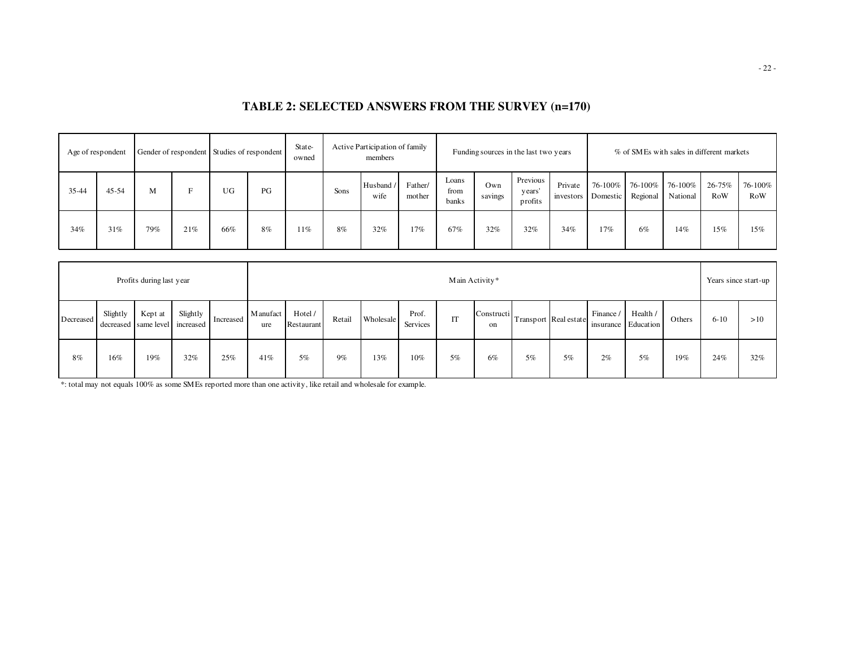# **TABLE 2: SELECTED ANSWERS FROM THE SURVEY (n=170)**

|       | Age of respondent |     |     | Gender of respondent Studies of respondent |    | State-<br>owned |      | Active Participation of family<br>members |                   |                        |                | Funding sources in the last two years |                               |         |                     | % of SMEs with sales in different markets |               |                |
|-------|-------------------|-----|-----|--------------------------------------------|----|-----------------|------|-------------------------------------------|-------------------|------------------------|----------------|---------------------------------------|-------------------------------|---------|---------------------|-------------------------------------------|---------------|----------------|
| 35-44 | $45 - 54$         | M   |     | UG                                         | PG |                 | Sons | Husband /<br>wife                         | Father/<br>mother | Loans<br>from<br>banks | Own<br>savings | Previous  <br>years'<br>profits       | Private<br>investors Domestic | 76-100% | 76-100%<br>Regional | 76-100%<br>National                       | 26-75%<br>RoW | 76-100%<br>RoW |
| 34%   | 31%               | 79% | 21% | 66%                                        | 8% | 11%             | 8%   | 32%                                       | 17%               | 67%                    | 32%            | 32%                                   | 34%                           | 17%     | 6%                  | 14%                                       | 15%           | 15%            |

|           |          | Profits during last year        |                       |           |                                                                                                                                                                                                  |    |    |     |     | Main Activity* |    |    |          |     |    |     |     | Years since start-up |
|-----------|----------|---------------------------------|-----------------------|-----------|--------------------------------------------------------------------------------------------------------------------------------------------------------------------------------------------------|----|----|-----|-----|----------------|----|----|----------|-----|----|-----|-----|----------------------|
| Decreased | Slightly | Kept at<br>decreased same level | Slightly<br>increased | Increased | M anufact<br>Hotel /<br>Finance<br>Health /<br>Prof.<br>Constructi<br>IT<br>Retail<br>Wholesale<br>Transport Real estate<br>Others<br>insurance Education<br>Services<br>Restaurant<br>ure<br>on |    |    |     |     |                |    |    | $6 - 10$ | >10 |    |     |     |                      |
| 8%        | 16%      | 19%                             | 32%                   | 25%       | 41%                                                                                                                                                                                              | 5% | 9% | 13% | 10% | 5%             | 6% | 5% | 5%       | 2%  | 5% | 19% | 24% | 32%                  |

\*: total may not equals 100% as some SMEs reported more than one activity, like retail and wholesale for example.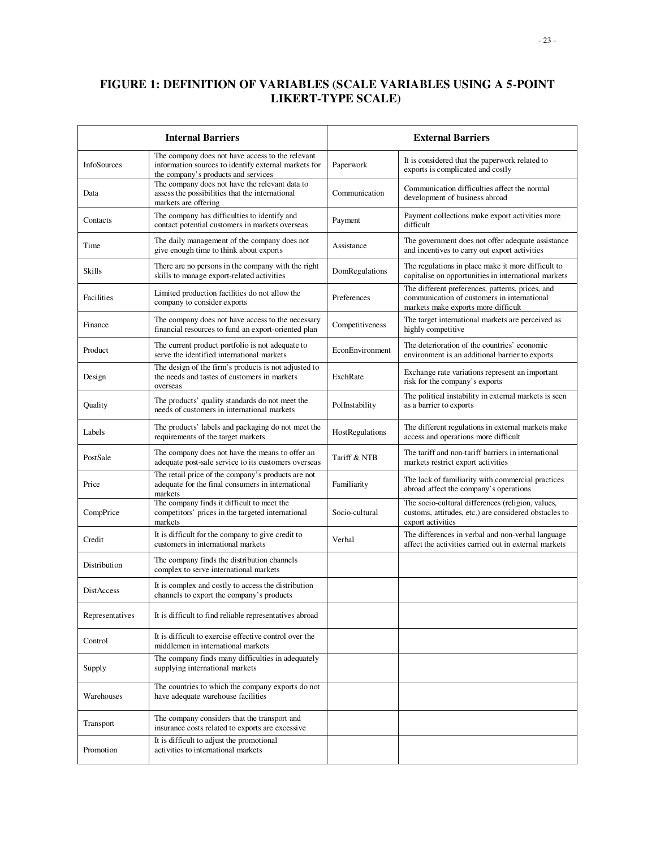# **FIGURE 1: DEFINITION OF VARIABLES (SCALE VARIABLES USING A 5-POINT LIKERT-TYPE SCALE)**

|                   | <b>Internal Barriers</b>                                                                                                                        |                 | <b>External Barriers</b>                                                                                                               |
|-------------------|-------------------------------------------------------------------------------------------------------------------------------------------------|-----------------|----------------------------------------------------------------------------------------------------------------------------------------|
| InfoSources       | The company does not have access to the relevant<br>information sources to identify external markets for<br>the company's products and services | Paperwork       | It is considered that the paperwork related to<br>exports is complicated and costly                                                    |
| Data              | The company does not have the relevant data to<br>assess the possibilities that the international<br>markets are offering                       | Communication   | Communication difficulties affect the normal<br>development of business abroad                                                         |
| Contacts          | The company has difficulties to identify and<br>contact potential customers in markets overseas                                                 | Payment         | Payment collections make export activities more<br>difficult                                                                           |
| Time              | The daily management of the company does not<br>give enough time to think about exports                                                         | Assistance      | The government does not offer adequate assistance<br>and incentives to carry out export activities                                     |
| Skills            | There are no persons in the company with the right<br>skills to manage export-related activities                                                | DomRegulations  | The regulations in place make it more difficult to<br>capitalise on opportunities in international markets                             |
| Facilities        | Limited production facilities do not allow the<br>company to consider exports                                                                   | Preferences     | The different preferences, patterns, prices, and<br>communication of customers in international<br>markets make exports more difficult |
| Finance           | The company does not have access to the necessary<br>financial resources to fund an export-oriented plan                                        | Competitiveness | The target international markets are perceived as<br>highly competitive                                                                |
| Product           | The current product portfolio is not adequate to<br>serve the identified international markets                                                  | EconEnvironment | The deterioration of the countries' economic<br>environment is an additional barrier to exports                                        |
| Design            | The design of the firm's products is not adjusted to<br>the needs and tastes of customers in markets<br>overseas                                | ExchRate        | Exchange rate variations represent an important<br>risk for the company's exports                                                      |
| Quality           | The products' quality standards do not meet the<br>needs of customers in international markets                                                  | PolInstability  | The political instability in external markets is seen<br>as a barrier to exports                                                       |
| Labels            | The products' labels and packaging do not meet the<br>requirements of the target markets                                                        | HostRegulations | The different regulations in external markets make<br>access and operations more difficult                                             |
| PostSale          | The company does not have the means to offer an<br>adequate post-sale service to its customers overseas                                         | Tariff & NTB    | The tariff and non-tariff barriers in international<br>markets restrict export activities                                              |
| Price             | The retail price of the company's products are not<br>adequate for the final consumers in international<br>markets                              | Familiarity     | The lack of familiarity with commercial practices<br>abroad affect the company's operations                                            |
| CompPrice         | The company finds it difficult to meet the<br>competitors' prices in the targeted international<br>markets                                      | Socio-cultural  | The socio-cultural differences (religion, values,<br>customs, attitudes, etc.) are considered obstacles to<br>export activities        |
| Credit            | It is difficult for the company to give credit to<br>customers in international markets                                                         | Verbal          | The differences in verbal and non-verbal language<br>affect the activities carried out in external markets                             |
| Distribution      | The company finds the distribution channels<br>complex to serve international markets                                                           |                 |                                                                                                                                        |
| <b>DistAccess</b> | It is complex and costly to access the distribution<br>channels to export the company's products                                                |                 |                                                                                                                                        |
| Representatives   | It is difficult to find reliable representatives abroad                                                                                         |                 |                                                                                                                                        |
| Control           | It is difficult to exercise effective control over the<br>middlemen in international markets                                                    |                 |                                                                                                                                        |
| Supply            | The company finds many difficulties in adequately<br>supplying international markets                                                            |                 |                                                                                                                                        |
| Warehouses        | The countries to which the company exports do not<br>have adequate warehouse facilities                                                         |                 |                                                                                                                                        |
| Transport         | The company considers that the transport and<br>insurance costs related to exports are excessive                                                |                 |                                                                                                                                        |
| Promotion         | It is difficult to adjust the promotional<br>activities to international markets                                                                |                 |                                                                                                                                        |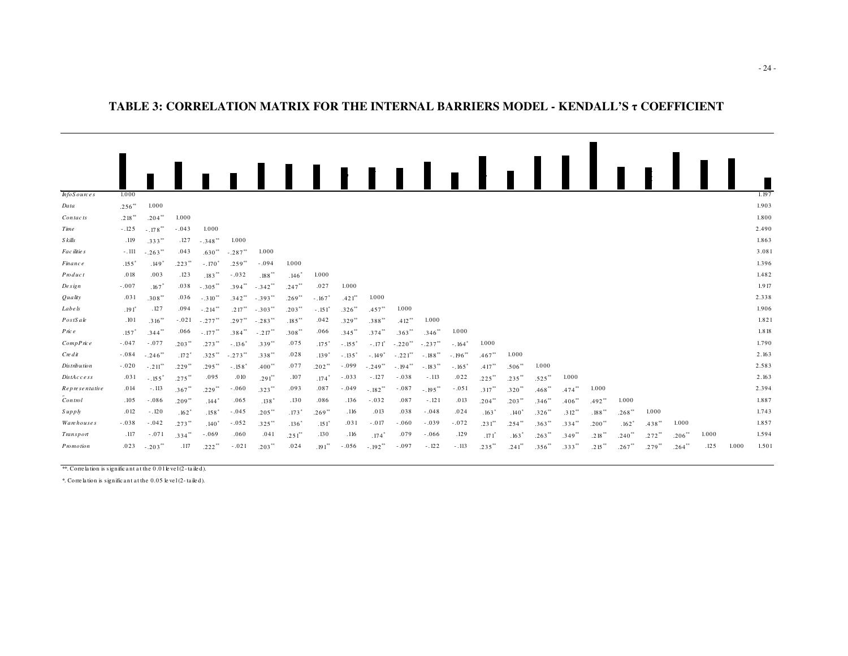#### **TABLE 3: CORRELATION MATRIX FOR THE INTERNAL BARRIERS MODEL - KENDALL'S** τ **COEFFICIENT**

|                   |                   |                       |                     |                       |              | ,,,,,,,,,,            |                      |                      |                     |                       |                        |                       |                       |                     | $\blacksquare$       |          |                      |                      |                      |           |         |       |       |       |
|-------------------|-------------------|-----------------------|---------------------|-----------------------|--------------|-----------------------|----------------------|----------------------|---------------------|-----------------------|------------------------|-----------------------|-----------------------|---------------------|----------------------|----------|----------------------|----------------------|----------------------|-----------|---------|-------|-------|-------|
|                   |                   |                       |                     |                       |              |                       |                      |                      |                     |                       |                        |                       |                       |                     |                      |          |                      |                      |                      |           |         |       |       |       |
| $h$ fo Sources    | 1.000             |                       |                     |                       |              |                       |                      |                      |                     |                       |                        |                       |                       |                     |                      |          |                      |                      |                      |           |         |       |       | 1.197 |
| Data              | .256'''           | 1.000                 |                     |                       |              |                       |                      |                      |                     |                       |                        |                       |                       |                     |                      |          |                      |                      |                      |           |         |       |       | 1.903 |
| Contacts          | .218              | .204'''               | 1.000               |                       |              |                       |                      |                      |                     |                       |                        |                       |                       |                     |                      |          |                      |                      |                      |           |         |       |       | 1.800 |
| Time              | $-.125$           | $-.178^{\circ\circ}$  | $-.043$             | 1.000                 |              |                       |                      |                      |                     |                       |                        |                       |                       |                     |                      |          |                      |                      |                      |           |         |       |       | 2.490 |
| S kills           | .119              | .333'''               | .127                | $-.348"$              | 1.000        |                       |                      |                      |                     |                       |                        |                       |                       |                     |                      |          |                      |                      |                      |           |         |       |       | 1.863 |
| Fac ilitie s      | $-.111$           | $-.263$ <sup>**</sup> | .043                | .630'''               | $-.287"$     | 1.000                 |                      |                      |                     |                       |                        |                       |                       |                     |                      |          |                      |                      |                      |           |         |       |       | 3.081 |
| <i>Finance</i>    | .155 <sup>°</sup> | $.149$ <sup>*</sup>   | .223'''             | $-.170$ <sup>*</sup>  | .259"        | $-.094$               | 1.000                |                      |                     |                       |                        |                       |                       |                     |                      |          |                      |                      |                      |           |         |       |       | 1.396 |
| Product           | .018              | .003                  | .123                | $.183***$             | $-.032$      | .188                  | .146                 | 1.000                |                     |                       |                        |                       |                       |                     |                      |          |                      |                      |                      |           |         |       |       | 1.482 |
| De sign           | $-.007$           | $.167$ <sup>*</sup>   | .038                | $-.305^{**}$          | .394'''      | $-342$ <sup>**</sup>  | .247'''              | .027                 | 1.000               |                       |                        |                       |                       |                     |                      |          |                      |                      |                      |           |         |       |       | 1.917 |
| Quality           | .031              | $.308^{\circ\circ}$   | .036                | $-.310$ <sup>**</sup> | .342'''      | $-.393"$              | .269'''              | $-.167$              | $.421$ <sup>*</sup> | 1.000                 |                        |                       |                       |                     |                      |          |                      |                      |                      |           |         |       |       | 2.338 |
| <i>Labe s</i>     | .191 <sup>°</sup> | .127                  | .094                | $-.214$ <sup>**</sup> | $.217***$    | $-.303$               | $.203**$             | $-.151$ <sup>*</sup> | .326'''             | .457'''               | 1.000                  |                       |                       |                     |                      |          |                      |                      |                      |           |         |       |       | 1.906 |
| PostS ale         | .101              | $.316^{\circ\circ}$   | $-.021$             | $-.277"$              | .297'''      | $-.283"$              | .185'''              | .042                 | .329'''             | $.388^{\circ\circ}$   | .412'''                | 1.000                 |                       |                     |                      |          |                      |                      |                      |           |         |       |       | 1.821 |
| Pric e            | .157"             | $.344$ <sup>**</sup>  | .066                | $-.177$               | .384'''      | $-.217$ <sup>**</sup> | .308'''              | .066                 | .345'''             | .374'''               | .363'''                | .346"                 | 1.000                 |                     |                      |          |                      |                      |                      |           |         |       |       | 1.818 |
| CompPrice         | $-.047$           | $-.077$               | .203'''             | $.273***$             | $-.136$ °    | .339'''               | .075                 | $.175*$              | $-.155$             | $-.171$ <sup>*</sup>  | $-.220$ <sup>**</sup>  | $-.237"$              | $-.164°$              | 1.000               |                      |          |                      |                      |                      |           |         |       |       | 1.790 |
| $Cre$ $di$        | $-.084$           | $-.246$ <sup>**</sup> | $.172$ <sup>*</sup> | $.325$ **             | $-.273^{**}$ | .338'''               | .028                 | $.139$ <sup>*</sup>  | $-.135'$            | $-.149'$              | $-.221$ <sup>**</sup>  | $-.188$ <sup>**</sup> | $-.196$ <sup>**</sup> | .467'''             | 1.000                |          |                      |                      |                      |           |         |       |       | 2.163 |
| Distribution      | $-.020$           | $-.211$ <sup>**</sup> | .229'''             | $.295***$             | $-.158$      | $.400^{**}$           | .077                 | .202'''              | $-.099$             | $-.249'''$            | $-194$ $^{\circ\circ}$ | $-.183"$              | $-.165$               | .417                | .506'''              | 1.000    |                      |                      |                      |           |         |       |       | 2.583 |
| DistAccess        | .031              | $-.155$               | $.275$ **           | .095                  | .010         | $.291$ <sup>**</sup>  | .107                 | $.174$ <sup>*</sup>  | $-.033$             | $-.127$               | $-.038$                | $-.113$               | .022                  | $.225$ **           | .235'''              | .525'''  | 1.000                |                      |                      |           |         |       |       | 2.163 |
| Representative    | .014              | $-.113$               | .367'''             | .229'''               | $-.060$      | .323'''               | .093                 | .087                 | $-.049$             | $-.182$ <sup>**</sup> | $-.087$                | $-.195$ <sup>**</sup> | $-.051$               | $.317**$            | .320'''              | .468'''  | $.474$ <sup>**</sup> | 1.000                |                      |           |         |       |       | 2.394 |
| Contnol           | .105              | $-.086$               | .209'''             | .144                  | .065         | .138 <sup>°</sup>     | .130                 | .086                 | .136                | $-.032$               | .087                   | $-.121$               | .013                  | .204'''             | $.203**$             | .346'''  | $.406$ <sup>**</sup> | $.492$ <sup>*</sup>  | 1.000                |           |         |       |       | 1.887 |
| Suppy             | .012              | $-.120$               | $.162$ <sup>*</sup> | .158 <sup>°</sup>     | $-.045$      | $.205***$             | $.173*$              | .269'''              | .116                | .013                  | .038                   | $-.048$               | .024                  | .163'               | .140 <sup>°</sup>    | .326'''  | $.312***$            | $.188^{\circ\circ}$  | .268'''              | 1.000     |         |       |       | 1.743 |
| <b>Warehouses</b> | $-.038$           | $-.042$               | .273'''             | .140 <sup>°</sup>     | $-.052$      | $.325$ <sup>**</sup>  | .136 <sup>°</sup>    | .151 <sup>°</sup>    | .031                | $-.017$               | $-.060$                | $-.039$               | $-.072$               | $.231^{\circ\circ}$ | .254'''              | .363'''  | .334'''              | $.200^{\circ\circ}$  | $.162*$              | .438'''   | 1.000   |       |       | 1.857 |
| Transport         | .117              | $-.071$               | .334'''             | $-.069$               | .060         | .041                  | $.251$ <sup>**</sup> | .130                 | .116                | $.174$ <sup>*</sup>   | .079                   | $-.066$               | .129                  | .171'               | $.163$ <sup>*</sup>  | $.263**$ | .349'''              | .218'''              | $.240$ <sup>**</sup> | $.272$ ** | .206''' | 1.000 |       | 1.594 |
| Promotion         | .023              | $-.203'''$            | .117                | $.222***$             | $-.021$      | $.203*$               | .024                 | $.191***$            | $-.056$             | $-.192$ <sup>*</sup>  | $-.097$                | $-.122$               | $-.113$               | .235'''             | $.241$ <sup>**</sup> | .356'''  | .333'''              | $.215$ <sup>**</sup> | $.267$ <sup>**</sup> | .279'''   | .264"   | .125  | 1.000 | 1.501 |

\*\*. Corre la tion is signific <sup>a</sup> nt a t the 0 .01 le ve l (2 - ta ile d).

\*. Co rre la tion is signific <sup>a</sup> nt a t the 0.05 le ve l (2- ta ile d).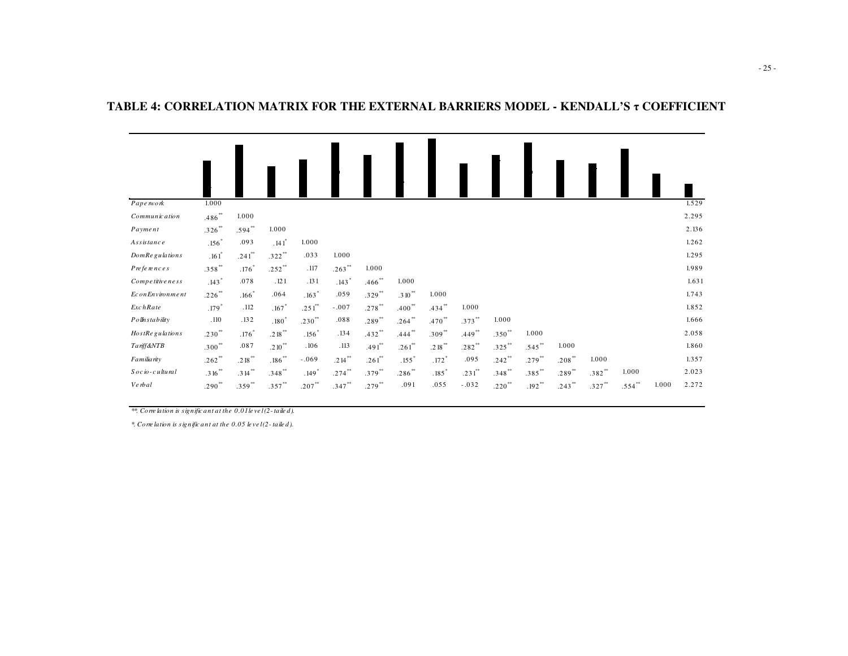| Papework               | 1.000                |                      |                     |             |           |                      |                     |                   |                      |           |                |           |           |           |       | 1.529 |
|------------------------|----------------------|----------------------|---------------------|-------------|-----------|----------------------|---------------------|-------------------|----------------------|-----------|----------------|-----------|-----------|-----------|-------|-------|
| Communic ation         | $.486***$            | 1.000                |                     |             |           |                      |                     |                   |                      |           |                |           |           |           |       | 2.295 |
| Payment                | $.326**$             | $.594**$             | 1.000               |             |           |                      |                     |                   |                      |           |                |           |           |           |       | 2.136 |
| Assistance             | $.156*$              | .093                 | $.141$ <sup>*</sup> | 1.000       |           |                      |                     |                   |                      |           |                |           |           |           |       | 1.262 |
| <b>DomRegulations</b>  | $.161$ <sup>*</sup>  | $.241$ <sup>**</sup> | $.322**$            | .033        | 1.000     |                      |                     |                   |                      |           |                |           |           |           |       | 1.295 |
| Preferences            | $.358$ **            | $.176*$              | $.252$ **           | .117        | $.263***$ | 1.000                |                     |                   |                      |           |                |           |           |           |       | 1.989 |
| Competitive ness       | $.143*$              | .078                 | .121                | .131        | $.143*$   | $.466$ <sup>**</sup> | 1.000               |                   |                      |           |                |           |           |           |       | 1.631 |
| EconEnvironment        | $.226***$            | $.166*$              | .064                | $.163*$     | .059      | $.329$ **            | $.310*$             | 1.000             |                      |           |                |           |           |           |       | 1.743 |
| <b>ExchRate</b>        | $.179*$              | .112                 | $.167$ <sup>*</sup> | $.251^{**}$ | $-.007$   | $.278$ **            | $.400**$            | .434              | 1.000                |           |                |           |           |           |       | 1.852 |
| $Po$ lh stability      | .110                 | .132                 | $.180*$             | $.230**$    | .088      | $.289***$            | $.264**$            | $.470*$           | $.373***$            | 1.000     |                |           |           |           |       | 1.666 |
| <b>HostRegulations</b> | $.230**$             | $.176*$              | $.218**$            | $.156*$     | .134      | $.432**$             | $.444**$            | $.309**$          | $.449**$             | $.350**$  | 1.000          |           |           |           |       | 2.058 |
| Tariff&NTB             | $.300**$             | .087                 | $.210*$             | .106        | .113      | $.491$ <sup>**</sup> | $.261^{**}$         | $.218***$         | $.282$ <sup>**</sup> | $.325$ ** | $.545$ **      | 1.000     |           |           |       | 1.860 |
| Familia rity           | $.262**$             | $.218***$            | $.186**$            | $-.069$     | $.214***$ | $.261$ **            | $.155$ <sup>*</sup> | $.172*$           | .095                 | $.242**$  | $.279**$       | $.208***$ | 1.000     |           |       | 1.357 |
| $Socio$ -cultural      | $.316$ <sup>**</sup> | $.314***$            | $.348**$            | $.149*$     | $.274***$ | $.379***$            | $.286***$           | $.185$ $^{\circ}$ | $.231$ <sup>**</sup> | $.348$ ** | $.385$ $^{**}$ | $.289***$ | $.382**$  | 1.000     |       | 2.023 |
| Ve rbal                | $.290**$             | $.359**$             | $.357***$           | $.207**$    | $.347***$ | $.279$ **            | .091                | .055              | $-.032$              | $.220**$  | $.192**$       | $.243***$ | $.327***$ | $.554$ ** | 1.000 | 2.272 |

#### **TABLE 4: CORRELATION MATRIX FOR THE EXTERNAL BARRIERS MODEL - KENDALL'S** τ **COEFFICIENT**

*\*\*. Corre lation is signific ant at the 0.01 le ve l (2- taile d).*

*\*. Corre lation is s ignific ant at the 0.05 le ve l (2- taile d).*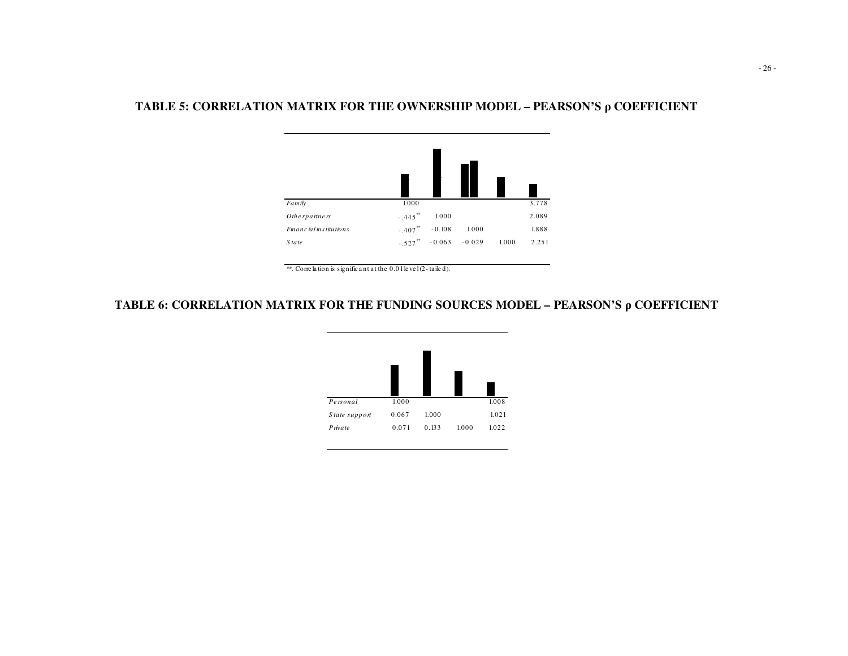# **TABLE 5: CORRELATION MATRIX FOR THE OWNERSHIP MODEL – PEARSON'S**  ρ **COEFFICIENT**



<sup>\*\*.</sup> Corre lation is signific ant at the  $0.01$  level(2-tailed).

# **TABLE 6: CORRELATION MATRIX FOR THE FUNDING SOURCES MODEL – PEARSON'S**  ρ **COEFFICIENT**

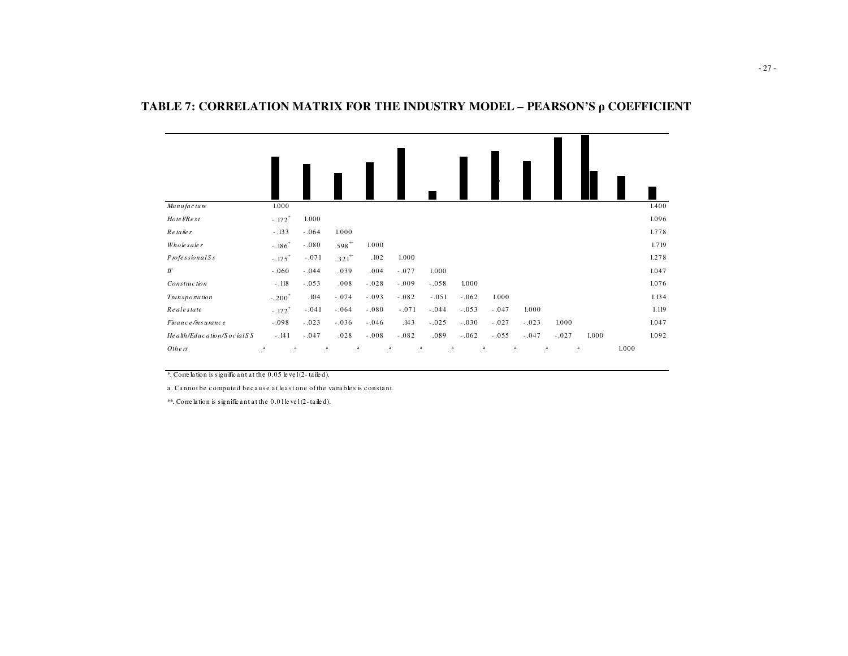| Manufacture                 | 1.000                              |                 |                      |           |           |                 |           |           |           |                 |       |       | 1.400 |
|-----------------------------|------------------------------------|-----------------|----------------------|-----------|-----------|-----------------|-----------|-----------|-----------|-----------------|-------|-------|-------|
| Hote VRe st                 | $-.172*$                           | 1.000           |                      |           |           |                 |           |           |           |                 |       |       | 1.096 |
| Re taile r                  | $-.133$                            | $-.064$         | 1.000                |           |           |                 |           |           |           |                 |       |       | 1.778 |
| Wholesaler                  | $-.186$ <sup>*</sup>               | $-080$          | $.598**$             | 1.000     |           |                 |           |           |           |                 |       |       | 1.719 |
| $P$ rofe ssional $S$ s      | $-.175$ <sup>*</sup>               | $-.071$         | $.321$ <sup>**</sup> | .102      | 1.000     |                 |           |           |           |                 |       |       | 1.278 |
| $I\!I$                      | $-.060$                            | $-.044$         | .039                 | .004      | $-.077$   | 1.000           |           |           |           |                 |       |       | 1.047 |
| Construction                | $-.118$                            | $-.053$         | .008                 | $-.028$   | $-.009$   | $-.058$         | 1.000     |           |           |                 |       |       | 1.076 |
| Transportation              | $-.200*$                           | .104            | $-.074$              | $-.093$   | $-.082$   | $-.051$         | $-.062$   | 1.000     |           |                 |       |       | 1.134 |
| Realestate                  | $-.172$ <sup>*</sup>               | $-.041$         | $-.064$              | $-.080$   | $-.071$   | $-.044$         | $-.053$   | $-.047$   | 1.000     |                 |       |       | 1.119 |
| Finance/insurance           | $-.098$                            | $-.023$         | $-.036$              | $-.046$   | .143      | $-.025$         | $-.030$   | $-.027$   | $-.023$   | 1.000           |       |       | 1.047 |
| He alth/Education/Social SS | $-.141$                            | $-.047$         | .028                 | $-.008$   | $-.082$   | .089            | $-.062$   | $-.055$   | $-.047$   | $-.027$         | 1.000 |       | 1.092 |
| Others                      | $\cdot^{\rm a}$<br>$\cdot^{\rm a}$ | $\cdot^{\rm a}$ | $\cdot^a$            | $\cdot^a$ | $\cdot^a$ | $\cdot^{\rm a}$ | $\cdot^a$ | $\cdot^a$ | $\cdot^a$ | $\cdot^{\rm a}$ |       | 1.000 |       |

### **TABLE 7: CORRELATION MATRIX FOR THE INDUSTRY MODEL – PEARSON'S**  ρ **COEFFICIENT**

\*. Corre la tion is signific <sup>a</sup> nt at the 0.05 le ve l (2- taile d).

a. Cannot be computed because at least one of the variables is constant.

\*\*. Corre la tion is signific <sup>a</sup> nt a t the 0.01 le ve l (2- ta ile d).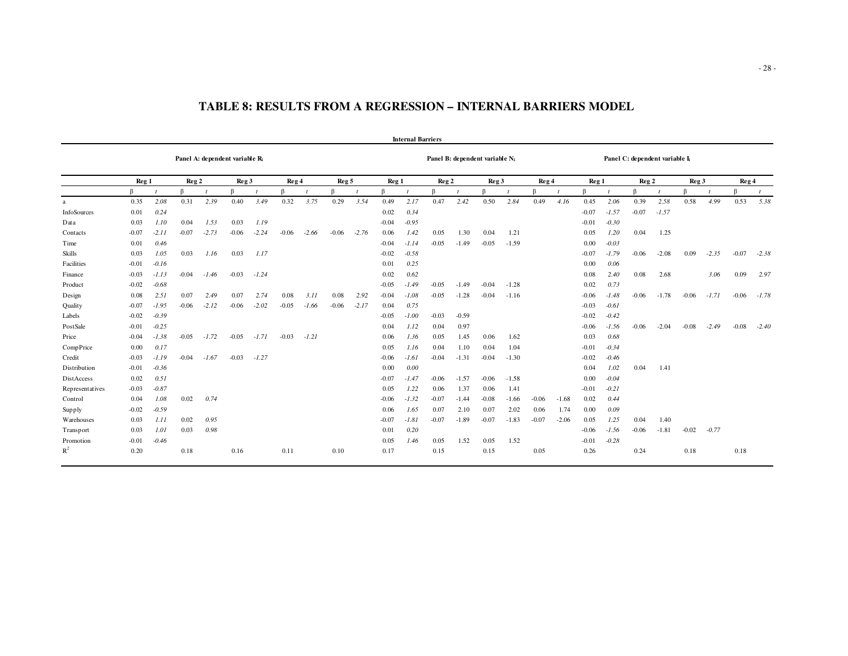|                 |         |         |                  |         |                                            |         |         |         |                  |         |                  | <b>Internal Barriers</b> |                  |                                            |                  |         |         |         |                  |         |                                            |         |                  |         |                  |         |
|-----------------|---------|---------|------------------|---------|--------------------------------------------|---------|---------|---------|------------------|---------|------------------|--------------------------|------------------|--------------------------------------------|------------------|---------|---------|---------|------------------|---------|--------------------------------------------|---------|------------------|---------|------------------|---------|
|                 |         |         |                  |         | Panel A: dependent variable R <sub>i</sub> |         |         |         |                  |         |                  |                          |                  | Panel B: dependent variable N <sub>i</sub> |                  |         |         |         |                  |         | Panel C: dependent variable I <sub>i</sub> |         |                  |         |                  |         |
|                 | Reg 1   |         | Reg <sub>2</sub> |         | Reg <sub>3</sub>                           |         | Reg 4   |         | Reg <sub>5</sub> |         | Reg <sub>1</sub> |                          | Reg <sub>2</sub> |                                            | Reg <sub>3</sub> |         | Reg 4   |         | Reg <sub>1</sub> |         | Reg <sub>2</sub>                           |         | Reg <sub>3</sub> |         | Reg <sub>4</sub> |         |
|                 | ß       |         |                  |         | R                                          |         | R.      |         | R                |         |                  |                          |                  |                                            | ß                |         |         |         |                  |         | R.                                         |         | $\mathsf R$      |         | R                |         |
| a               | 0.35    | 2.08    | 0.31             | 2.39    | 0.40                                       | 3.49    | 0.32    | 3.75    | 0.29             | 3.54    | 0.49             | 2.17                     | 0.47             | 2.42                                       | 0.50             | 2.84    | 0.49    | 4.16    | 0.45             | 2.06    | 0.39                                       | 2.58    | 0.58             | 4.99    | 0.53             | 5.38    |
| InfoSources     | 0.01    | 0.24    |                  |         |                                            |         |         |         |                  |         | 0.02             | 0.34                     |                  |                                            |                  |         |         |         | $-0.07$          | $-1.57$ | $-0.07$                                    | $-1.57$ |                  |         |                  |         |
| Data            | 0.03    | 1.10    | 0.04             | 1.53    | 0.03                                       | 1.19    |         |         |                  |         | $-0.04$          | $-0.95$                  |                  |                                            |                  |         |         |         | $-0.01$          | $-0.30$ |                                            |         |                  |         |                  |         |
| Contacts        | $-0.07$ | $-2.11$ | $-0.07$          | $-2.73$ | $-0.06$                                    | $-2.24$ | $-0.06$ | $-2.66$ | $-0.06$          | $-2.76$ | 0.06             | 1.42                     | 0.05             | 1.30                                       | 0.04             | 1.21    |         |         | 0.05             | 1.20    | 0.04                                       | 1.25    |                  |         |                  |         |
| Time            | 0.01    | 0.46    |                  |         |                                            |         |         |         |                  |         | $-0.04$          | $-1.14$                  | $-0.05$          | $-1.49$                                    | $-0.05$          | $-1.59$ |         |         | 0.00             | $-0.03$ |                                            |         |                  |         |                  |         |
| Skills          | 0.03    | 1.05    | 0.03             | 1.16    | 0.03                                       | 1.17    |         |         |                  |         | $-0.02$          | $-0.58$                  |                  |                                            |                  |         |         |         | $-0.07$          | $-1.79$ | $-0.06$                                    | $-2.08$ | 0.09             | $-2.35$ | $-0.07$          | $-2.38$ |
| Facilities      | $-0.01$ | $-0.16$ |                  |         |                                            |         |         |         |                  |         | 0.01             | 0.25                     |                  |                                            |                  |         |         |         | 0.00             | 0.06    |                                            |         |                  |         |                  |         |
| Finance         | $-0.03$ | $-1.13$ | $-0.04$          | $-1.46$ | $-0.03$                                    | $-1.24$ |         |         |                  |         | 0.02             | 0.62                     |                  |                                            |                  |         |         |         | 0.08             | 2.40    | 0.08                                       | 2.68    |                  | 3.06    | 0.09             | 2.97    |
| Product         | $-0.02$ | $-0.68$ |                  |         |                                            |         |         |         |                  |         | $-0.05$          | $-1.49$                  | $-0.05$          | $-1.49$                                    | $-0.04$          | $-1.28$ |         |         | 0.02             | 0.73    |                                            |         |                  |         |                  |         |
| Design          | 0.08    | 2.51    | 0.07             | 2.49    | 0.07                                       | 2.74    | 0.08    | 3.11    | 0.08             | 2.92    | $-0.04$          | $-1.08$                  | $-0.05$          | $-1.28$                                    | $-0.04$          | $-1.16$ |         |         | $-0.06$          | $-1.48$ | $-0.06$                                    | $-1.78$ | $-0.06$          | $-1.71$ | $-0.06$          | $-1.78$ |
| Quality         | $-0.07$ | $-1.95$ | $-0.06$          | $-2.12$ | $-0.06$                                    | $-2.02$ | $-0.05$ | $-1.66$ | $-0.06$          | $-2.17$ | 0.04             | 0.75                     |                  |                                            |                  |         |         |         | $-0.03$          | $-0.61$ |                                            |         |                  |         |                  |         |
| Labels          | $-0.02$ | $-0.39$ |                  |         |                                            |         |         |         |                  |         | $-0.05$          | $-1.00$                  | $-0.03$          | $-0.59$                                    |                  |         |         |         | $-0.02$          | $-0.42$ |                                            |         |                  |         |                  |         |
| PostSale        | $-0.01$ | $-0.25$ |                  |         |                                            |         |         |         |                  |         | 0.04             | 1.12                     | 0.04             | 0.97                                       |                  |         |         |         | $-0.06$          | $-1.56$ | $-0.06$                                    | $-2.04$ | $-0.08$          | $-2.49$ | $-0.08$          | $-2.40$ |
| Price           | $-0.04$ | $-1.38$ | $-0.05$          | $-1.72$ | $-0.05$                                    | $-1.71$ | $-0.03$ | $-1.21$ |                  |         | 0.06             | 1.36                     | 0.05             | 1.45                                       | 0.06             | 1.62    |         |         | 0.03             | 0.68    |                                            |         |                  |         |                  |         |
| Comp Price      | 0.00    | 0.17    |                  |         |                                            |         |         |         |                  |         | 0.05             | 1.16                     | 0.04             | 1.10                                       | 0.04             | 1.04    |         |         | $-0.01$          | $-0.34$ |                                            |         |                  |         |                  |         |
| Credit          | $-0.03$ | $-1.19$ | $-0.04$          | $-1.67$ | $-0.03$                                    | $-1.27$ |         |         |                  |         | $-0.06$          | $-1.61$                  | $-0.04$          | $-1.31$                                    | $-0.04$          | $-1.30$ |         |         | $-0.02$          | $-0.46$ |                                            |         |                  |         |                  |         |
| Distribution    | $-0.01$ | $-0.36$ |                  |         |                                            |         |         |         |                  |         | 0.00             | 0.00                     |                  |                                            |                  |         |         |         | 0.04             | 1.02    | 0.04                                       | 1.41    |                  |         |                  |         |
| DistAccess      | 0.02    | 0.51    |                  |         |                                            |         |         |         |                  |         | $-0.07$          | $-1.47$                  | $-0.06$          | $-1.57$                                    | $-0.06$          | $-1.58$ |         |         | 0.00             | $-0.04$ |                                            |         |                  |         |                  |         |
| Representatives | $-0.03$ | $-0.87$ |                  |         |                                            |         |         |         |                  |         | 0.05             | 1.22                     | 0.06             | 1.37                                       | 0.06             | 1.41    |         |         | $-0.01$          | $-0.21$ |                                            |         |                  |         |                  |         |
| Control         | 0.04    | 1.08    | 0.02             | 0.74    |                                            |         |         |         |                  |         | $-0.06$          | $-1.32$                  | $-0.07$          | $-1.44$                                    | $-0.08$          | $-1.66$ | $-0.06$ | $-1.68$ | 0.02             | 0.44    |                                            |         |                  |         |                  |         |
| Supply          | $-0.02$ | $-0.59$ |                  |         |                                            |         |         |         |                  |         | 0.06             | 1.65                     | 0.07             | 2.10                                       | 0.07             | 2.02    | 0.06    | 1.74    | 0.00             | 0.09    |                                            |         |                  |         |                  |         |
| Warehouses      | 0.03    | 1.11    | 0.02             | 0.95    |                                            |         |         |         |                  |         | $-0.07$          | $-1.81$                  | $-0.07$          | $-1.89$                                    | $-0.07$          | $-1.83$ | $-0.07$ | $-2.06$ | 0.05             | 1.25    | 0.04                                       | 1.40    |                  |         |                  |         |
| Transport       | 0.03    | 1.01    | 0.03             | 0.98    |                                            |         |         |         |                  |         | 0.01             | 0.20                     |                  |                                            |                  |         |         |         | $-0.06$          | $-1.56$ | $-0.06$                                    | $-1.81$ | $-0.02$          | $-0.77$ |                  |         |
| Promotion       | $-0.01$ | $-0.46$ |                  |         |                                            |         |         |         |                  |         | 0.05             | 1.46                     | 0.05             | 1.52                                       | 0.05             | 1.52    |         |         | $-0.01$          | $-0.28$ |                                            |         |                  |         |                  |         |
| $R^2$           | 0.20    |         | 0.18             |         | 0.16                                       |         | 0.11    |         | 0.10             |         | 0.17             |                          | 0.15             |                                            | 0.15             |         | 0.05    |         | 0.26             |         | 0.24                                       |         | 0.18             |         | 0.18             |         |

# **TABLE 8: RESULTS FROM A REGRESSION – INTERNAL BARRIERS MODEL**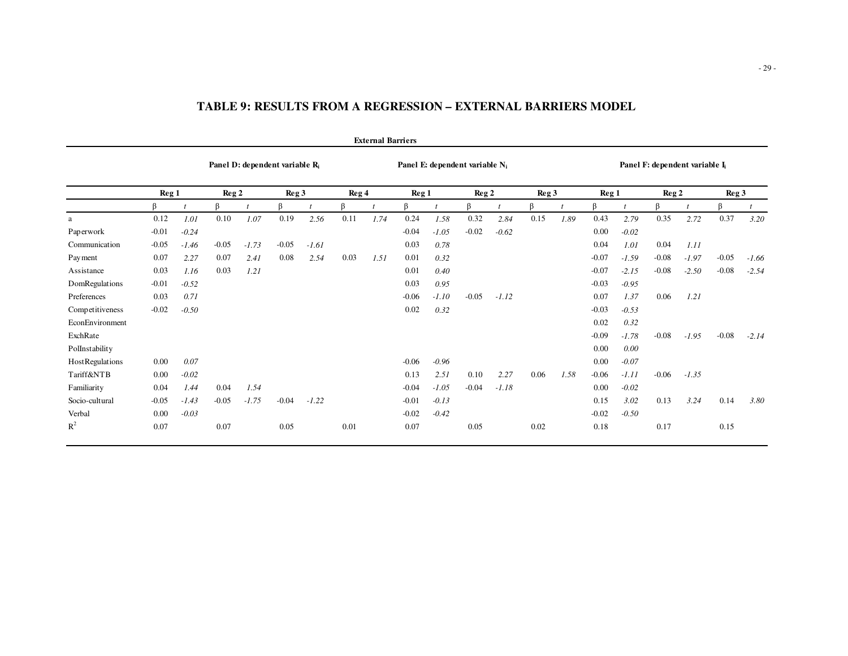|                 |         |         |                 |         |                                            |         |       | <b>External Barriers</b> |         |                                   |                 |         |                  |      |                  |         |                                            |         |                  |         |
|-----------------|---------|---------|-----------------|---------|--------------------------------------------|---------|-------|--------------------------|---------|-----------------------------------|-----------------|---------|------------------|------|------------------|---------|--------------------------------------------|---------|------------------|---------|
|                 |         |         |                 |         | Panel D: dependent variable R <sub>i</sub> |         |       |                          |         | Panel E: dependent variable $N_i$ |                 |         |                  |      |                  |         | Panel F: dependent variable I <sub>i</sub> |         |                  |         |
|                 | Reg 1   |         | $\text{Reg } 2$ |         | Reg <sub>3</sub>                           |         | Reg 4 |                          | Reg 1   |                                   | $\text{Reg } 2$ |         | Reg <sub>3</sub> |      | Reg <sub>1</sub> |         | $\text{Reg } 2$                            |         | Reg <sub>3</sub> |         |
|                 | ß       |         | ß               |         | ß                                          |         | ß     |                          | ß       |                                   | ß               |         | ß                |      | ß                |         | ß                                          |         | ß                |         |
| a               | 0.12    | 1.01    | 0.10            | 1.07    | 0.19                                       | 2.56    | 0.11  | 1.74                     | 0.24    | 1.58                              | 0.32            | 2.84    | 0.15             | 1.89 | 0.43             | 2.79    | 0.35                                       | 2.72    | 0.37             | 3.20    |
| Paperwork       | $-0.01$ | $-0.24$ |                 |         |                                            |         |       |                          | $-0.04$ | $-1.05$                           | $-0.02$         | $-0.62$ |                  |      | 0.00             | $-0.02$ |                                            |         |                  |         |
| Communication   | $-0.05$ | $-1.46$ | $-0.05$         | $-1.73$ | $-0.05$                                    | $-1.61$ |       |                          | 0.03    | 0.78                              |                 |         |                  |      | 0.04             | 1.01    | 0.04                                       | 1.11    |                  |         |
| Payment         | 0.07    | 2.27    | 0.07            | 2.41    | 0.08                                       | 2.54    | 0.03  | 1.51                     | 0.01    | 0.32                              |                 |         |                  |      | $-0.07$          | $-1.59$ | $-0.08$                                    | $-1.97$ | $-0.05$          | $-1.66$ |
| Assistance      | 0.03    | 1.16    | 0.03            | 1.21    |                                            |         |       |                          | 0.01    | 0.40                              |                 |         |                  |      | $-0.07$          | $-2.15$ | $-0.08$                                    | $-2.50$ | $-0.08$          | $-2.54$ |
| DomRegulations  | $-0.01$ | $-0.52$ |                 |         |                                            |         |       |                          | 0.03    | 0.95                              |                 |         |                  |      | $-0.03$          | $-0.95$ |                                            |         |                  |         |
| Preferences     | 0.03    | 0.71    |                 |         |                                            |         |       |                          | $-0.06$ | $-1.10$                           | $-0.05$         | $-1.12$ |                  |      | 0.07             | 1.37    | 0.06                                       | 1.21    |                  |         |
| Competitiveness | $-0.02$ | $-0.50$ |                 |         |                                            |         |       |                          | 0.02    | 0.32                              |                 |         |                  |      | $-0.03$          | $-0.53$ |                                            |         |                  |         |
| EconEnvironment |         |         |                 |         |                                            |         |       |                          |         |                                   |                 |         |                  |      | 0.02             | 0.32    |                                            |         |                  |         |
| ExchRate        |         |         |                 |         |                                            |         |       |                          |         |                                   |                 |         |                  |      | $-0.09$          | $-1.78$ | $-0.08$                                    | $-1.95$ | $-0.08$          | $-2.14$ |
| PolInstability  |         |         |                 |         |                                            |         |       |                          |         |                                   |                 |         |                  |      | 0.00             | 0.00    |                                            |         |                  |         |
| HostRegulations | 0.00    | 0.07    |                 |         |                                            |         |       |                          | $-0.06$ | $-0.96$                           |                 |         |                  |      | 0.00             | $-0.07$ |                                            |         |                  |         |
| Tariff&NTB      | 0.00    | $-0.02$ |                 |         |                                            |         |       |                          | 0.13    | 2.51                              | 0.10            | 2.27    | 0.06             | 1.58 | $-0.06$          | $-1.11$ | $-0.06$                                    | $-1.35$ |                  |         |
| Familiarity     | 0.04    | 1.44    | 0.04            | 1.54    |                                            |         |       |                          | $-0.04$ | $-1.05$                           | $-0.04$         | $-1.18$ |                  |      | 0.00             | $-0.02$ |                                            |         |                  |         |
| Socio-cultural  | $-0.05$ | $-1.43$ | $-0.05$         | $-1.75$ | $-0.04$                                    | $-1.22$ |       |                          | $-0.01$ | $-0.13$                           |                 |         |                  |      | 0.15             | 3.02    | 0.13                                       | 3.24    | 0.14             | 3.80    |
| Verbal          | 0.00    | $-0.03$ |                 |         |                                            |         |       |                          | $-0.02$ | $-0.42$                           |                 |         |                  |      | $-0.02$          | $-0.50$ |                                            |         |                  |         |
| $R^2$           | 0.07    |         | 0.07            |         | 0.05                                       |         | 0.01  |                          | 0.07    |                                   | 0.05            |         | 0.02             |      | 0.18             |         | 0.17                                       |         | 0.15             |         |

# **TABLE 9: RESULTS FROM A REGRESSION – EXTERNAL BARRIERS MODEL**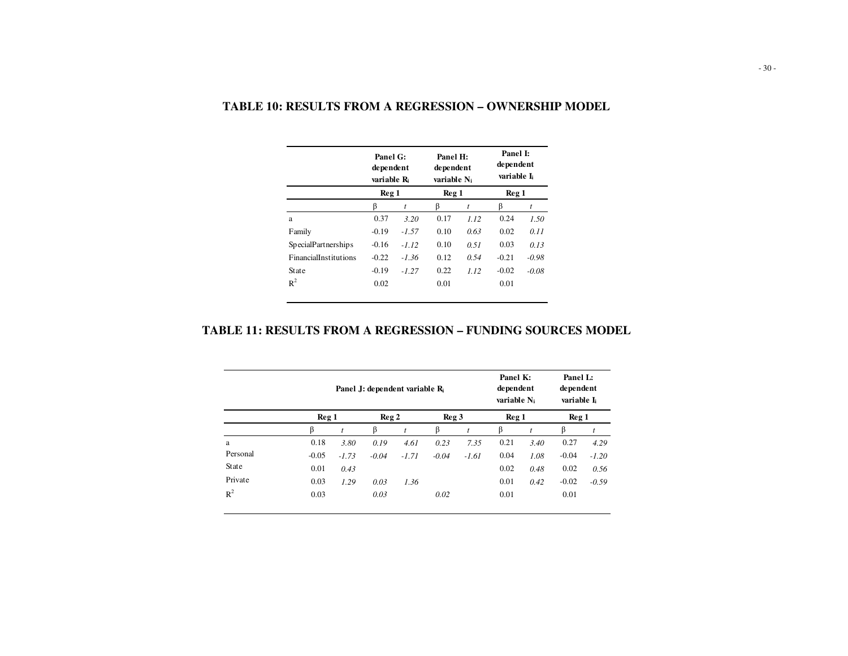|                              | Panel G:<br>dependent<br>variable R <sub>i</sub> |         | Panel H:<br>dependent<br>variable N <sub>i</sub> |      | Panel I:<br>dependent<br>variable I. |         |
|------------------------------|--------------------------------------------------|---------|--------------------------------------------------|------|--------------------------------------|---------|
|                              | Reg 1                                            |         | Reg 1                                            |      | Reg 1                                |         |
|                              | ß                                                | t       | ß                                                | t    | ß                                    | t       |
| a                            | 0.37                                             | 3.20    | 0.17                                             | 1.12 | 0.24                                 | 1.50    |
| Family                       | $-0.19$                                          | $-1.57$ | 0.10                                             | 0.63 | 0.02                                 | 0.11    |
| <b>SpecialPartnerships</b>   | $-0.16$                                          | $-1.12$ | 0.10                                             | 0.51 | 0.03                                 | 0.13    |
| <b>FinancialInstitutions</b> | $-0.22$                                          | $-1.36$ | 0.12                                             | 0.54 | $-0.21$                              | $-0.98$ |
| State                        | $-0.19$                                          | $-127$  | 0.22                                             | 112  | $-0.02$                              | $-0.08$ |
| $R^2$                        | 0.02                                             |         | 0.01                                             |      | 0.01                                 |         |

### **TABLE 10: RESULTS FROM A REGRESSION – OWNERSHIP MODEL**

# **TABLE 11: RESULTS FROM A REGRESSION – FUNDING SOURCES MODEL**

|                |         |                       |         | Panel J: dependent variable R |         |           | Panel K:<br>dependent<br>variable N <sub>i</sub> |           | Panel L:<br>dependent<br>variable I <sub>i</sub> |         |
|----------------|---------|-----------------------|---------|-------------------------------|---------|-----------|--------------------------------------------------|-----------|--------------------------------------------------|---------|
|                | Reg 1   |                       | Reg 2   |                               | Reg 3   |           | Reg <sub>1</sub>                                 |           | Reg <sub>1</sub>                                 |         |
|                | ß       | ß<br>$\boldsymbol{t}$ |         | $\dot{t}$                     | ß       | $\dot{t}$ | β                                                | $\dot{t}$ | ß                                                | t       |
| a              | 0.18    | 3.80                  | 0.19    | 4.61                          | 0.23    | 7.35      | 0.21                                             | 3.40      | 0.27                                             | 4.29    |
| Personal       | $-0.05$ | $-1.73$               | $-0.04$ | $-1.71$                       | $-0.04$ | $-1.61$   | 0.04                                             | 1.08      | $-0.04$                                          | $-1.20$ |
| State          | 0.01    | 0.43                  |         |                               |         |           | 0.02                                             | 0.48      | 0.02                                             | 0.56    |
| Private        | 0.03    | 1.29                  | 0.03    | 1.36                          |         |           | 0.01                                             | 0.42      | $-0.02$                                          | $-0.59$ |
| $\mathbb{R}^2$ | 0.03    |                       | 0.03    |                               | 0.02    |           | 0.01                                             |           | 0.01                                             |         |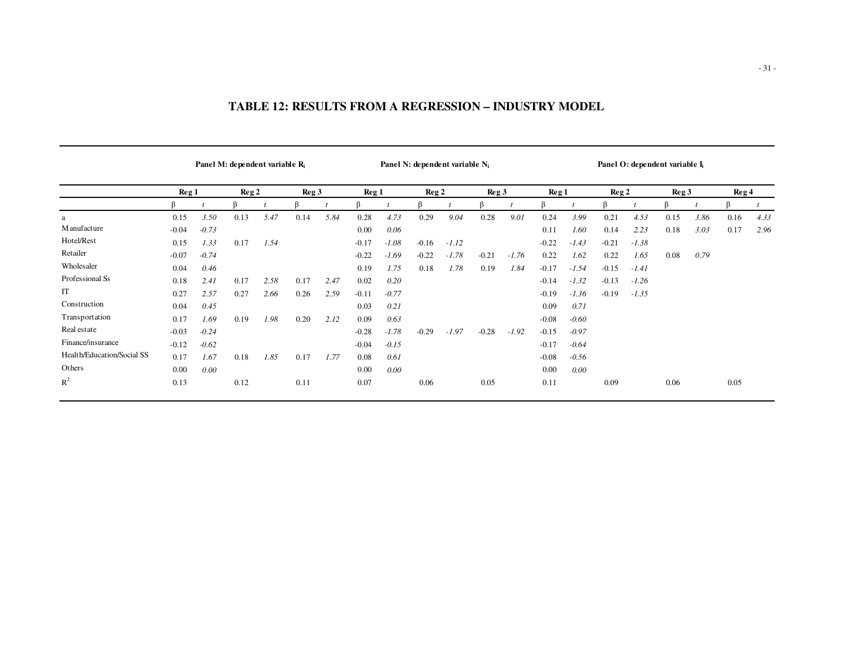|                            |                  |         | Panel M: dependent variable R <sub>i</sub> |      |       |      |         |         | Panel N: dependent variable $N_i$ |         |                 |         |         |         |                 | Panel O: dependent variable I <sub>i</sub> |                  |      |       |      |
|----------------------------|------------------|---------|--------------------------------------------|------|-------|------|---------|---------|-----------------------------------|---------|-----------------|---------|---------|---------|-----------------|--------------------------------------------|------------------|------|-------|------|
|                            | Reg <sub>1</sub> |         | Reg <sub>2</sub>                           |      | Reg 3 |      | Reg 1   |         | Reg <sub>2</sub>                  |         | $\text{Reg } 3$ |         | Reg 1   |         | $\text{Reg } 2$ |                                            | Reg <sub>3</sub> |      | Reg 4 |      |
|                            |                  |         | ß                                          |      |       |      | ß       |         | ß                                 |         | R               |         |         |         | ß               |                                            |                  |      | ß     |      |
| a                          | 0.15             | 3.50    | 0.13                                       | 5.47 | 0.14  | 5.84 | 0.28    | 4.73    | 0.29                              | 9.04    | 0.28            | 9.01    | 0.24    | 3.99    | 0.21            | 4.53                                       | 0.15             | 3.86 | 0.16  | 4.33 |
| M anufacture               | $-0.04$          | $-0.73$ |                                            |      |       |      | 0.00    | 0.06    |                                   |         |                 |         | 0.11    | 1.60    | 0.14            | 2.23                                       | 0.18             | 3.03 | 0.17  | 2.96 |
| Hotel/Rest                 | 0.15             | 1.33    | 0.17                                       | 1.54 |       |      | $-0.17$ | $-1.08$ | $-0.16$                           | $-1.12$ |                 |         | $-0.22$ | $-1.43$ | $-0.21$         | $-1.38$                                    |                  |      |       |      |
| Retailer                   | $-0.07$          | $-0.74$ |                                            |      |       |      | $-0.22$ | $-1.69$ | $-0.22$                           | $-1.78$ | $-0.21$         | $-1.76$ | 0.22    | 1.62    | 0.22            | 1.65                                       | 0.08             | 0.79 |       |      |
| Wholesaler                 | 0.04             | 0.46    |                                            |      |       |      | 0.19    | 1.75    | 0.18                              | 1.78    | 0.19            | 1.84    | $-0.17$ | $-1.54$ | $-0.15$         | $-1.41$                                    |                  |      |       |      |
| Professional Ss            | 0.18             | 2.41    | 0.17                                       | 2.58 | 0.17  | 2.47 | 0.02    | 0.20    |                                   |         |                 |         | $-0.14$ | $-1.32$ | $-0.13$         | $-1.26$                                    |                  |      |       |      |
| IT                         | 0.27             | 2.57    | 0.27                                       | 2.66 | 0.26  | 2.59 | $-0.11$ | $-0.77$ |                                   |         |                 |         | $-0.19$ | $-1.36$ | $-0.19$         | $-1.35$                                    |                  |      |       |      |
| Construction               | 0.04             | 0.45    |                                            |      |       |      | 0.03    | 0.21    |                                   |         |                 |         | 0.09    | 0.71    |                 |                                            |                  |      |       |      |
| Transportation             | 0.17             | 1.69    | 0.19                                       | 1.98 | 0.20  | 2.12 | 0.09    | 0.63    |                                   |         |                 |         | $-0.08$ | $-0.60$ |                 |                                            |                  |      |       |      |
| Real estate                | $-0.03$          | $-0.24$ |                                            |      |       |      | $-0.28$ | $-1.78$ | $-0.29$                           | $-1.97$ | $-0.28$         | $-1.92$ | $-0.15$ | $-0.97$ |                 |                                            |                  |      |       |      |
| Finance/insurance          | $-0.12$          | $-0.62$ |                                            |      |       |      | $-0.04$ | $-0.15$ |                                   |         |                 |         | $-0.17$ | $-0.64$ |                 |                                            |                  |      |       |      |
| Health/Education/Social SS | 0.17             | 1.67    | 0.18                                       | 1.85 | 0.17  | 1.77 | 0.08    | 0.61    |                                   |         |                 |         | $-0.08$ | $-0.56$ |                 |                                            |                  |      |       |      |
| Others                     | 0.00             | 0.00    |                                            |      |       |      | 0.00    | 0.00    |                                   |         |                 |         | 0.00    | 0.00    |                 |                                            |                  |      |       |      |
| $R^2$                      | 0.13             |         | 0.12                                       |      | 0.11  |      | 0.07    |         | 0.06                              |         | 0.05            |         | 0.11    |         | 0.09            |                                            | 0.06             |      | 0.05  |      |

# **TABLE 12: RESULTS FROM A REGRESSION – INDUSTRY MODEL**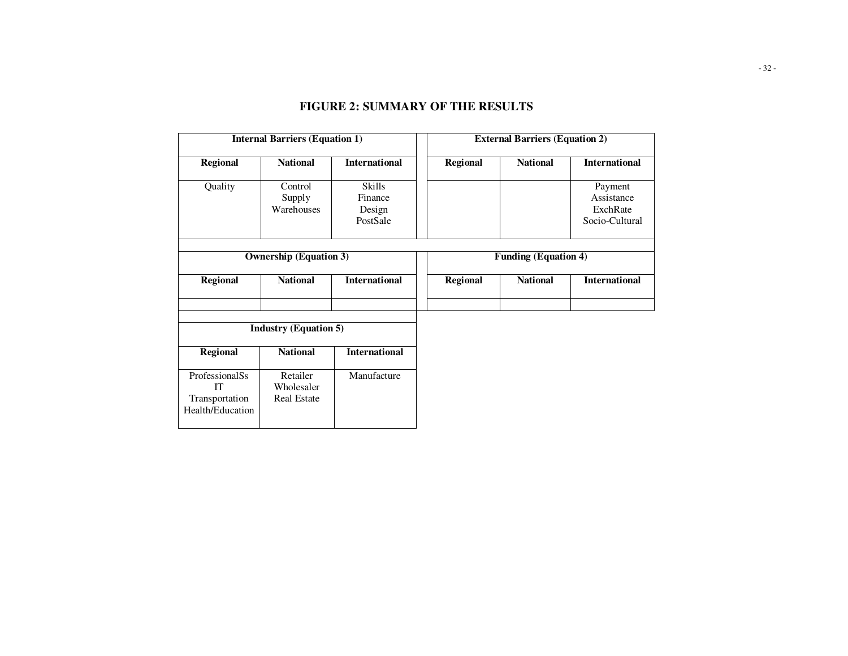| <b>Internal Barriers (Equation 1)</b>                             |                                              |                                         |  | <b>External Barriers (Equation 2)</b> |                 |                                                     |  |
|-------------------------------------------------------------------|----------------------------------------------|-----------------------------------------|--|---------------------------------------|-----------------|-----------------------------------------------------|--|
| <b>Regional</b>                                                   | <b>National</b>                              | <b>International</b>                    |  | <b>Regional</b>                       | <b>National</b> | <b>International</b>                                |  |
| Quality                                                           | Control<br>Supply<br>Warehouses              | Skills<br>Finance<br>Design<br>PostSale |  |                                       |                 | Payment<br>Assistance<br>ExchRate<br>Socio-Cultural |  |
| <b>Ownership (Equation 3)</b>                                     |                                              |                                         |  | <b>Funding (Equation 4)</b>           |                 |                                                     |  |
| <b>Regional</b>                                                   | <b>National</b>                              | <b>International</b>                    |  | <b>Regional</b>                       | <b>National</b> | <b>International</b>                                |  |
|                                                                   |                                              |                                         |  |                                       |                 |                                                     |  |
| <b>Industry (Equation 5)</b>                                      |                                              |                                         |  |                                       |                 |                                                     |  |
| <b>Regional</b>                                                   | <b>National</b>                              | <b>International</b>                    |  |                                       |                 |                                                     |  |
| ProfessionalSs<br><b>IT</b><br>Transportation<br>Health/Education | Retailer<br>Wholesaler<br><b>Real Estate</b> | Manufacture                             |  |                                       |                 |                                                     |  |

# **FIGURE 2: SUMMARY OF THE RESULTS**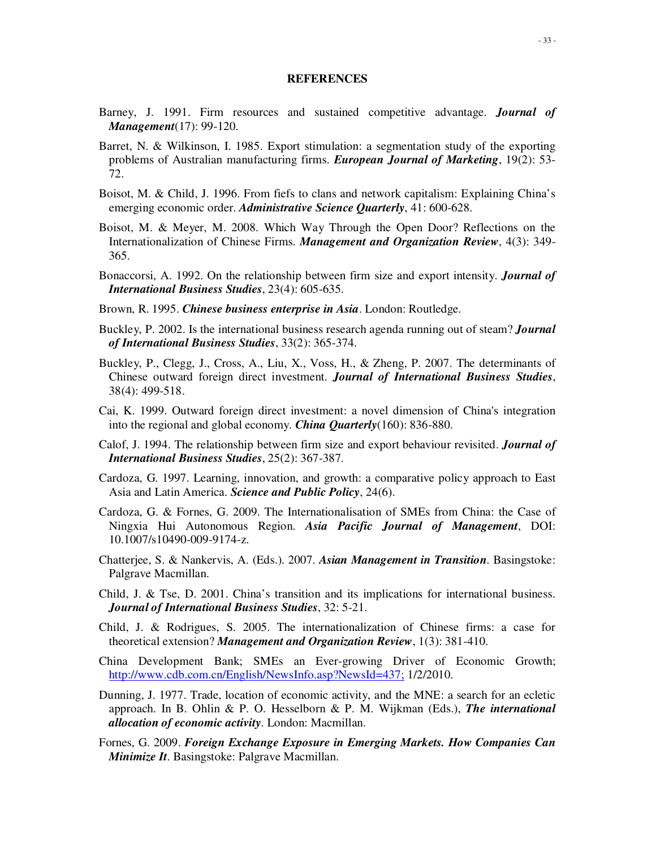#### **REFERENCES**

- Barney, J. 1991. Firm resources and sustained competitive advantage. *Journal of Management*(17): 99-120.
- Barret, N. & Wilkinson, I. 1985. Export stimulation: a segmentation study of the exporting problems of Australian manufacturing firms. *European Journal of Marketing*, 19(2): 53- 72.
- Boisot, M. & Child, J. 1996. From fiefs to clans and network capitalism: Explaining China's emerging economic order. *Administrative Science Quarterly*, 41: 600-628.
- Boisot, M. & Meyer, M. 2008. Which Way Through the Open Door? Reflections on the Internationalization of Chinese Firms. *Management and Organization Review*, 4(3): 349- 365.
- Bonaccorsi, A. 1992. On the relationship between firm size and export intensity. *Journal of International Business Studies*, 23(4): 605-635.
- Brown, R. 1995. *Chinese business enterprise in Asia*. London: Routledge.
- Buckley, P. 2002. Is the international business research agenda running out of steam? *Journal of International Business Studies*, 33(2): 365-374.
- Buckley, P., Clegg, J., Cross, A., Liu, X., Voss, H., & Zheng, P. 2007. The determinants of Chinese outward foreign direct investment. *Journal of International Business Studies*, 38(4): 499-518.
- Cai, K. 1999. Outward foreign direct investment: a novel dimension of China's integration into the regional and global economy. *China Quarterly*(160): 836-880.
- Calof, J. 1994. The relationship between firm size and export behaviour revisited. *Journal of International Business Studies*, 25(2): 367-387.
- Cardoza, G. 1997. Learning, innovation, and growth: a comparative policy approach to East Asia and Latin America. *Science and Public Policy*, 24(6).
- Cardoza, G. & Fornes, G. 2009. The Internationalisation of SMEs from China: the Case of Ningxia Hui Autonomous Region. *Asia Pacific Journal of Management*, DOI: 10.1007/s10490-009-9174-z.
- Chatterjee, S. & Nankervis, A. (Eds.). 2007. *Asian Management in Transition*. Basingstoke: Palgrave Macmillan.
- Child, J. & Tse, D. 2001. China's transition and its implications for international business. *Journal of International Business Studies*, 32: 5-21.
- Child, J. & Rodrigues, S. 2005. The internationalization of Chinese firms: a case for theoretical extension? *Management and Organization Review*, 1(3): 381-410.
- China Development Bank; SMEs an Ever-growing Driver of Economic Growth; http://www.cdb.com.cn/English/NewsInfo.asp?NewsId=437; 1/2/2010.
- Dunning, J. 1977. Trade, location of economic activity, and the MNE: a search for an ecletic approach. In B. Ohlin & P. O. Hesselborn & P. M. Wijkman (Eds.), *The international allocation of economic activity*. London: Macmillan.
- Fornes, G. 2009. *Foreign Exchange Exposure in Emerging Markets. How Companies Can Minimize It*. Basingstoke: Palgrave Macmillan.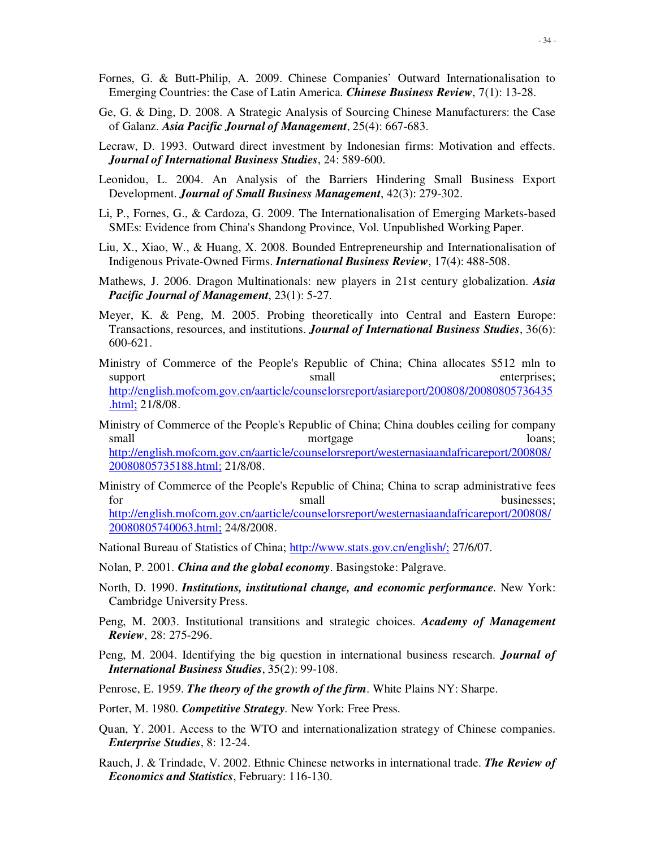- Fornes, G. & Butt-Philip, A. 2009. Chinese Companies' Outward Internationalisation to Emerging Countries: the Case of Latin America. *Chinese Business Review*, 7(1): 13-28.
- Ge, G. & Ding, D. 2008. A Strategic Analysis of Sourcing Chinese Manufacturers: the Case of Galanz. *Asia Pacific Journal of Management*, 25(4): 667-683.
- Lecraw, D. 1993. Outward direct investment by Indonesian firms: Motivation and effects. *Journal of International Business Studies*, 24: 589-600.
- Leonidou, L. 2004. An Analysis of the Barriers Hindering Small Business Export Development. *Journal of Small Business Management*, 42(3): 279-302.
- Li, P., Fornes, G., & Cardoza, G. 2009. The Internationalisation of Emerging Markets-based SMEs: Evidence from China's Shandong Province, Vol. Unpublished Working Paper.
- Liu, X., Xiao, W., & Huang, X. 2008. Bounded Entrepreneurship and Internationalisation of Indigenous Private-Owned Firms. *International Business Review*, 17(4): 488-508.
- Mathews, J. 2006. Dragon Multinationals: new players in 21st century globalization. *Asia Pacific Journal of Management*, 23(1): 5-27.
- Meyer, K. & Peng, M. 2005. Probing theoretically into Central and Eastern Europe: Transactions, resources, and institutions. *Journal of International Business Studies*, 36(6): 600-621.
- Ministry of Commerce of the People's Republic of China; China allocates \$512 mln to support small enterprises; http://english.mofcom.gov.cn/aarticle/counselorsreport/asiareport/200808/20080805736435 .html; 21/8/08.
- Ministry of Commerce of the People's Republic of China; China doubles ceiling for company small mortgage loans; http://english.mofcom.gov.cn/aarticle/counselorsreport/westernasiaandafricareport/200808/ 20080805735188.html; 21/8/08.
- Ministry of Commerce of the People's Republic of China; China to scrap administrative fees for small businesses; http://english.mofcom.gov.cn/aarticle/counselorsreport/westernasiaandafricareport/200808/ 20080805740063.html; 24/8/2008.

National Bureau of Statistics of China; http://www.stats.gov.cn/english/; 27/6/07.

- Nolan, P. 2001. *China and the global economy*. Basingstoke: Palgrave.
- North, D. 1990. *Institutions, institutional change, and economic performance*. New York: Cambridge University Press.
- Peng, M. 2003. Institutional transitions and strategic choices. *Academy of Management Review*, 28: 275-296.
- Peng, M. 2004. Identifying the big question in international business research. *Journal of International Business Studies*, 35(2): 99-108.
- Penrose, E. 1959. *The theory of the growth of the firm*. White Plains NY: Sharpe.
- Porter, M. 1980. *Competitive Strategy*. New York: Free Press.
- Quan, Y. 2001. Access to the WTO and internationalization strategy of Chinese companies. *Enterprise Studies*, 8: 12-24.
- Rauch, J. & Trindade, V. 2002. Ethnic Chinese networks in international trade. *The Review of Economics and Statistics*, February: 116-130.